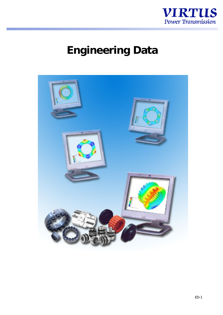

# **Engineering Data**

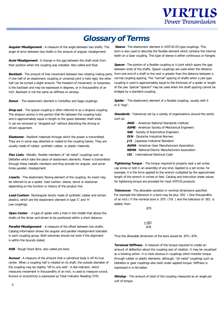## **Glossary of Terms**

**Angular Misalignment** - A measure of the angle between two shafts. The angle of error between two shafts is the amount of angular misalignment.

**Axial Misalignment** - A change in the gap between the shaft ends from their position when the coupling was installed. Also called end float.

Backlash - The amount of free movement between two rotating mating parts. from one end of a shaft to the next is greater than the distance between a If one half of an elastomeric coupling or universal joint is held rigid, the other half can be turned a slight amount. The freedom of movement, or looseness, is the backlash and may be expressed in degrees, or in thousandths of an inch. Backlash is not the same as stiffness or windup.

**Donut** - The elastomeric element in Centaflex and Saga couplings.

**Drop out** - The spacer coupling is often referred to as a dropout coupling. The dropout section is the portion that fits between the coupling hubs and is approximately equal in length to the space between shaft ends. It can be removed or "dropped-out" without disturbing the driving or driven equipment.

**Elastomer** - Resilient materials through which the power is transmitted. They are in some way attached or mated to the coupling halves. They are usually made of rubber, synthetic rubber, or plastic materials.

**Flex Links** - Metallic, flexible members of "all metal" couplings such as Deltaflex which take the place of elastomeric elements. Power is transmitted through these metallic members and they provide for angular, and sometimes parallel, misalignment.

**Inserts** - The elastomeric flexing element of the coupling. An insert may be referred to as a spider, load cushion, sleeve, donut or elastomer depending on the function or history of the product line.

**Load Cushion** - Rectangular blocks made of synthetic rubber and certain plastics, which are the elastomeric element in type 'C' and 'H' Jaw couplings.

**Open Center** - A type of spider with a hole in the middle that allows the shafts of the driver and driven to be positioned within a short distance.

**Parallel Misalignment** - A measure of the offset between two shafts. Catalog information shows the angular and parallel misalignment tolerable in each coupling group. Both extremes should not exist if the alignment is within the bounds stated.

**RSB** - Rough Stock Bore, also called pre-bore.

**Runout** - A measure of the amount that a cylindrical body is off its true center. When a coupling half is rotated on its shaft, the outside diameter of the coupling may be slightly "off to one side". A dial indicator, which measures movement in thousandths of an inch, is used to measure runout. Runout or eccentricity is expressed as Total Indicator Reading (TIR).

**Sleeve** - The elastomeric element in VIRTUS ES type couplings. This term is also used to describe the flexible element which contains the internal teeth on a Gear coupling. This type of sleeve is either continuous or flanged.

**Spacer** - The portion of a flexible coupling or U-joint which spans the gap between ends of the shafts. Spacer couplings are used when the distance normal coupling spacing. The "normal" spacing of shafts when a jaw type coupling is used is approximately equal to the thickness of a spider or length of the jaw. Special "spacers" may be used when the shaft spacing cannot be bridged by a standard coupling.

**Spider** - The elastomeric element of a flexible coupling, usually with 4 or 6 "legs".

**Standards** - Tolerances set by a variety of organizations around the world, such as:

> **ANSI** - American National Standards Institute **ASME** - American Society of Mechanical Engineers **SAE** - Society of Automotive Engineers **DIN** - Deutsche Industrial Normen **JIS** - Japanese Industrial Standard **AGMA** - American Gear Manufacturers Association **NEMA** - National Electric Manufacturers Association **IEC** - International Electrical Code

**Tightening Torque** - The torque required to properly seat a set screw, cap screw or bolt in an assembly of any kind. Applied to a set screw, for example, it is the force applied to the wrench multiplied by the approximate length of the wrench in inches or feet. Catalog and instruction sheet values for tightening torque are provided for most VIRTUS products.

**Tolerances** - The allowable variation in nominal dimensions specified. For example the tolerance in a bore may be plus .001 ( One thousandths of an inch.) If the nominal bore is .875 (7/8 ) and the tolerance of .001 is added, then:

> +.001 .876

.875

Thus the allowable dimension of the bore would be .875 /.876 .

**Torsional Stiffness** - A measure of the torque required to create an amount of deflection about the coupling axis of rotation. It may be visualized as a twisting action. It is most obvious in couplings which transfer torque through rubber or plastic elements; although, "all metal" couplings such as Deltaflex or gear couplings also twist under applied torque. Stiffness is expressed in in-lb/radian.

**Windup** - The amount of twist of the coupling measured as an angle per unit of torque.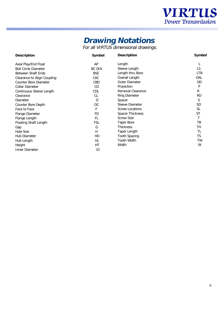

## **Drawing Notations**

For all VIRTUS dimensional drawings.

| <b>Description</b>                 | <b>Symbol</b> | <b>Description</b>       | <b>Symbol</b> |
|------------------------------------|---------------|--------------------------|---------------|
| Axial Play/End Float               | AP            | Length                   | L             |
| <b>Bolt Circle Diameter</b>        | <b>BC DIA</b> | Sleeve Length            | LS            |
| <b>Between Shaft Ends</b>          | BSE           | Length thru Bore         | <b>LTB</b>    |
| <b>Clearance to Align Coupling</b> | <b>CAC</b>    | <b>Overall Length</b>    | <b>OAL</b>    |
| <b>Counter Bore Diameter</b>       | <b>CBD</b>    | <b>Outer Diameter</b>    | <b>OD</b>     |
| <b>Collar Diameter</b>             | CD            | Projection               | P             |
| <b>Continuous Sleeve Length</b>    | <b>CDL</b>    | <b>Removal Clearance</b> | $\mathbf R$   |
| Clearance                          | <b>CL</b>     | <b>Ring Diameter</b>     | <b>RD</b>     |
| <b>Diameter</b>                    | D             | <b>Spacer</b>            | S             |
| <b>Counter Bore Depth</b>          | DC            | <b>Sleeve Diameter</b>   | <b>SD</b>     |
| <b>Face to Face</b>                | F             | <b>Screw Locations</b>   | <b>SL</b>     |
| <b>Flange Diameter</b>             | <b>FD</b>     | <b>Spacer Thickness</b>  | <b>ST</b>     |
| Flange Length                      | FL            | <b>Screw Size</b>        | т             |
| <b>Floating Shaft Length</b>       | FSL           | <b>Taper Bore</b>        | TB            |
| Gap                                | G             | <b>Thickness</b>         | <b>TH</b>     |
| <b>Hole Size</b>                   | H             | <b>Taper Length</b>      | TL            |
| <b>Hub Diameter</b>                | HD            | <b>Tooth Spacing</b>     | <b>TS</b>     |
| <b>Hub Length</b>                  | HL            | <b>Tooth Width</b>       | TW            |
| Height                             | HT            | Width                    | W             |
| <b>Inner Diameter</b>              | ID            |                          |               |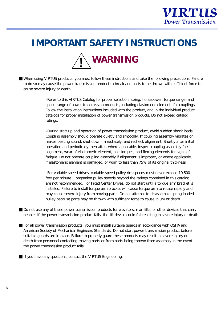

## **IMPORTANT SAFETY INSTRUCTIONS**



■ When using VIRTUS products, you must follow these instructions and take the following precautions. Failure to do so may cause the power transmission product to break and parts to be thrown with sufficient force to cause severe injury or death.

> -Refer to this VIRTUS Catalog for proper selection, sizing, horsepower, torque range, and speed range of power transmission products, including elastomeric elements for couplings. Follow the installation instructions included with the product, and in the individual product catalogs for proper installation of power transmission products. Do not exceed catalog ratings.

> -During start up and operation of power transmission product, avoid sudden shock loads. Coupling assembly should operate quietly and smoothly. If coupling assembly vibrates or makes beating sound, shut down immediately, and recheck alignment. Shortly after initial operation and periodically thereafter, where applicable, inspect coupling assembly for: alignment, wear of elastomeric element, bolt torques, and flexing elements for signs of fatigue. Do not operate coupling assembly if alignment is improper, or where applicable, if elastomeric element is damaged, or worn to less than 75% of its original thickness.

> -For variable speed drives, variable speed pulley rim speeds must never exceed 10,500 feet per minute. Companion pulley speeds beyond the ratings contained in this catalog are not recommended. For Fixed Center Drives, do not start until a torque arm bracket is installed. Failure to install torque arm bracket will cause torque arm to rotate rapidly and may cause severe injury from moving parts. Do not attempt to disassemble spring loaded pulley because parts may be thrown with sufficient force to cause injury or death.

- Do not use any of these power transmission products for elevators, man lifts, or other devices that carry people. If the power transmission product fails, the lift device could fall resulting in severe injury or death.
- For all power transmission products, you must install suitable guards in accordance with OSHA and American Society of Mechanical Engineers Standards. Do not start power transmission product before suitable guards are in place. Failure to properly guard these products may result in severe injury or death from personnel contacting moving parts or from parts being thrown from assembly in the event the power transmission product fails.
- If you have any questions, contact the VIRTUS Engineering.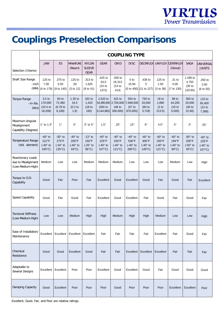

## **Couplings Preselection Comparisons**

|                                                                      |                                                           | <b>COUPLING TYPE</b>                                      |                                                           |                                                           |                                                                      |                                                           |                                                 |                                                           |                                                           |                                                          |                                                           |                                                 |
|----------------------------------------------------------------------|-----------------------------------------------------------|-----------------------------------------------------------|-----------------------------------------------------------|-----------------------------------------------------------|----------------------------------------------------------------------|-----------------------------------------------------------|-------------------------------------------------|-----------------------------------------------------------|-----------------------------------------------------------|----------------------------------------------------------|-----------------------------------------------------------|-------------------------------------------------|
| <b>Selection Criterion</b>                                           | <b>JAW</b>                                                | <b>ES</b>                                                 | <b>MINIATURE</b><br>(Beam)                                | <b>NYLON</b><br><b>SLEEVE</b><br><b>GEAR</b>              | <b>GEAR</b>                                                          | <b>GRID</b>                                               | <b>DISC</b>                                     | <b>DELTAFLEX</b>                                          | <b>UNIFLEX</b>                                            | <b>CENTAFLEX</b><br>(Donut)                              | <b>SAGA</b>                                               | <b>UNIVERSAL</b><br><b>JOINTS</b>               |
| <b>Shaft Size Range</b><br>-inch<br>(MM)                             | $.125$ to<br>7.00<br>(4 to 178)                           | .375 to<br>5.50<br>(9 to 140)                             | $.125$ to<br>.50<br>(3 to 12)                             | .313 to<br>1.625<br>(8 to 41)                             | .625 to<br>54.0<br>$(15$ to<br>1372)                                 | .500 to<br>16.313<br>(14 to<br>414)                       | 0 <sub>to</sub><br>15.94                        | .438 to<br>5<br>(0 to 400) (11 to 127)                    | $.125$ to<br>1.50<br>(3 to 38)                            | .31 to<br>5.00<br>(7 to 130)                             | 1.188 to<br>4.750<br>(30 to<br>120.65)                    | .250 to<br>2.00<br>(6 to 50)                    |
| <b>Torque Range</b><br>$-in-lbs.$<br>(Nm)                            | 3.5 <sub>to</sub><br>170,000<br>(10.4)<br>19,209)         | 60 to<br>72,480<br>$(6.78)$ to<br>8,189)                  | 1.35 to<br>16.5<br>(0.2)<br>1.9)                          | 162 to<br>1,420<br>(18 <sub>to</sub><br>160)              | 2,520 to<br>54,390,000 2,700,000<br>(284 to<br>$ 6, 144, 982\rangle$ | 422 to<br>(48 <sub>to</sub><br>306,000)                   | 504 to<br>7,699,500<br>$(57)$ to<br>870,000)    | 750 to<br>33,000<br>(84 to<br>3,728                       | 18 <sub>to</sub><br>1,890<br>(2 <sub>to</sub> )<br>213.5) | 88 to<br>44,200<br>(10 to<br>5,000                       | 350 to<br>20,000<br>(40 to<br>22.60)                      | 110 to<br>65,400<br>(12 to<br>7,389)            |
| Maximum Angular<br>Misalignment<br><b>Capability (Degrees)</b>       | 1° to 1.3°                                                | $1^{\circ}$                                               | $5^{\circ}$                                               | $3°$ to $5°$                                              | $1.5^\circ$                                                          | $.25^{\circ}$                                             | $.15^{\circ}$                                   | $6^{\circ}$                                               | $4.5^\circ$                                               | $3^{\circ}$                                              | $3^\circ$                                                 | $25^{\circ}$                                    |
| <b>Temperature Range</b><br>(std. element)                           | $-40^\circ$ to<br>212°F<br>$(-40° to$<br>$100^{\circ}$ C) | $-30^\circ$ to<br>275°F<br>$(-34° to$<br>$135^{\circ}C$ ) | $-40^\circ$ to<br>200°F<br>$(-40°)$ to<br>$93^{\circ}$ C) | $-13^\circ$ to<br>150°F<br>$(-25°)$ to<br>$66^{\circ}$ C) | $-40^\circ$ to<br>225°F<br>$(-40°)$ to<br>$107^{\circ}$ C)           | $-40^\circ$ to<br>250°F<br>$(-40° to$<br>$121^{\circ}$ C) | $-40^\circ$ to<br>536°F<br>$(-40° to$<br>280°C) | $-40^\circ$ to<br>300°F<br>$(-40° to$<br>$149^{\circ}$ C) | $-40^\circ$ to<br>250°F<br>$(-40° to$<br>$121^{\circ}C$   | $-40^\circ$ to<br>194°F<br>$(-40° to$<br>$90^{\circ}$ C) | $-60^\circ$ to<br>200°F<br>$(-50°)$ to<br>$93^{\circ}$ C) | $-40^\circ$ to<br>225°F<br>$(-40° to$<br>107°C) |
| <b>Reactionary Loads</b><br>due to Misalignment<br>(Low-Medium-High) | Medium                                                    | Low                                                       | Low                                                       | Medium                                                    | Medium                                                               | Medium                                                    | Low                                             | Low                                                       | Low                                                       | Medium                                                   | Low                                                       | High                                            |
| Torque to O.D.<br>Capability                                         | Good                                                      | Fair                                                      | Poor                                                      | Fair                                                      | Excellent                                                            | Good                                                      | Excellent                                       | Good                                                      | Fair                                                      | Good                                                     | Fair                                                      | Excellent                                       |
| <b>Speed Capability</b>                                              | Good                                                      | Fair                                                      | Good                                                      | Fair                                                      | Excellent                                                            | Good                                                      | Excellent                                       | Fair                                                      | Good                                                      | Fair                                                     | Good                                                      | Fair                                            |
| <b>Torsional Stiffness</b><br>(Low-Medium-High)                      | Low                                                       | Low                                                       | Medium                                                    | High                                                      | High                                                                 | Medium                                                    | High                                            | High                                                      | Medium                                                    | Low                                                      | Low                                                       | High                                            |
| Ease of Installation/<br>Maintenance                                 | Excellent                                                 | Excellent                                                 | Excellent                                                 | Excellent                                                 | Fair                                                                 | Fair                                                      | Fair                                            | Fair                                                      | Excellent                                                 | Fair                                                     | Good                                                      | Fair                                            |
| Chemical<br>Resistance                                               | Good                                                      | Good                                                      | Excellent                                                 | Good                                                      | Fair                                                                 | Fair                                                      | <b>Excellent</b>                                | Excellent                                                 | Excellent                                                 | Fair                                                     | Fair                                                      | Fair                                            |
| Adaptable to<br><b>Several Designs</b>                               | Excellent                                                 | Excellent                                                 | Poor                                                      | Poor                                                      | Excellent                                                            | Good                                                      | Excellent                                       | Good                                                      | Fair                                                      | Good                                                     | Good                                                      | Good                                            |
| <b>Damping Capacity</b>                                              | Good                                                      | Excellent                                                 | Poor                                                      | Poor                                                      | Poor                                                                 | Good                                                      | Poor                                            | Poor                                                      | Poor                                                      | Excellent                                                | Excellent                                                 | Poor                                            |

Excellent, Good, Fair, and Poor are relative ratings.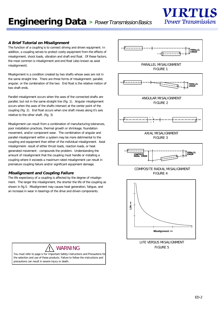

#### **A Brief Tutorial on Misalignment**

The function of a coupling is to connect driving and driven equipment. In addition, a coupling serves to protect costly equipment from the effects of misalignment, shock loads, vibration and shaft end float. Of these factors, the most common is misalignment and end float (also known as axial misalignment).

Misalignment is a condition created by two shafts whose axes are not in the same straight line. There are three forms of misalignment: parallel, angular, or the combination of the two. End float is the relative motion of two shaft ends.

Parallel misalignment occurs when the axes of the connected shafts are parallel, but not in the same straight line (fig. 1). Angular misalignment occurs when the axes of the shafts intersect at the center point of the coupling (fig. 2). End float occurs when one shaft moves along it's axis relative to the other shaft. (fig. 3)

Misalignment can result from a combination of manufacturing tolerances, poor installation practices, thermal growth or shrinkage, foundation movement, and/or component wear. The combination of angular and parallel misalignment within a system may be more detrimental to the coupling and equipment than either of the individual misalignment. Axial misalignment- result of either thrust loads, reaction loads, or heat generated movement - compounds the problem. Understanding the amount of misalignment that the coupling must handle or installing a coupling where it exceeds a maximum rated misalignment can result in premature coupling failure and/or significant equipment damage.

#### **Misalignment and Coupling Failure**

The life expectancy of a coupling is affected by the degree of misalignment. The larger the misalignment, the shorter the life of the coupling as shown in fig.5. Misalignment may causes heat generation, fatigue, and an increase in wear in bearings of the drive and driven components.





LIFE VERSUS MISALIGNMENT WARNING FIGURE 5



You must refer to page iv for Important Safety Instructions and Precautions for the selection and use of these products. Failure to follow the instructions and precautions can result in severe injury or death.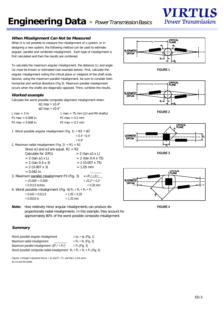

#### **When Misalignment Can Not be Measured**

When it is not possible to measure the misalignment of a system, or in designing a new system, the following method can be used to estimate angular, parallel and combined misalignment. Each type of misalignment is first calculated and then the results are combined.

To calculate the maximum angular misalignment, the distance (L) and angle (a) must be known or estimated (see example below). First, calculate the angular misalignment noting the critical plane or midpoint of the shaft ends. Second, using the maximum parallel misalignment, be sure to consider both horizontal and vertical directions (Fig.3). Maximum parallel misalignment occurs when the shafts are diagonally opposed. Third, combine the results.

#### **Worked example**

Calculate the worst possible composite alignment misalignment when:

| L max = $75 \text{ mm}$ (LH and RH shafts)                          |
|---------------------------------------------------------------------|
| $P1 \text{ max} = 0.2 \text{ mm}$                                   |
| $P2 \text{ max} = 0.2 \text{ mm}$                                   |
| $\alpha$ 1 max = $\pm$ 0.4°<br>$\alpha$ 2 max = $\pm$ 0.4 $\degree$ |

1. Worst possible angular misalignment (Fig. 1) =  $\alpha$ 1 +  $\alpha$ 2 = 0.4° +0.4°

|                                                                 | $= 0.4 + 1.4$              |  |
|-----------------------------------------------------------------|----------------------------|--|
|                                                                 | $= 0.8^\circ$              |  |
| 2. Maximum radial misalignment (Fig. 2) = $R1 + R2$             |                            |  |
| Since $\alpha$ 1 and $\alpha$ 2 are equal, R1 = R2              |                            |  |
| Calculate for $2(R1)$                                           | $= 2$ (tan $\alpha$ 1 x L) |  |
| $= 2$ (tan $\alpha$ 1 x L)                                      | $= 2$ (tan 0.4 x 75)       |  |
| $= 2$ (tan 0.4 x 3)                                             | $= 2$ (0.007 x 75)         |  |
| $= 2$ (0.007 x 3)                                               | $= 1.05$ mm                |  |
| $= 0.042$ in.                                                   |                            |  |
| 3. Maximum parallel misalignment P3 (Fig. 3)                    | $=\sqrt{P_1^2+P_2^2}$      |  |
| $=$ $\sqrt{0.008^2 + 0.008^2}$                                  | $=$ $\sqrt{0.2^2 + 0.2^2}$ |  |
| $= 0.0113$ inches                                               | $= 0.28$ mm                |  |
| 4. Worst possible misalignment (Fig. 4) $R_c = R_1 + R_2 + P_3$ |                            |  |
| $= 0.042 + 0.0113$                                              | $= 1.05 + 0.28$            |  |
| $= 0.0533$ in.                                                  | $= 1.33$ mm                |  |
|                                                                 |                            |  |



**FIGURE 1**



**FIGURE 2**



**FIGURE 3**



**FIGURE 4**

**Note:** How relatively minor angular misalignments can produce disproportionate radial misalignments. In this example, they account for approximately 80% of the worst possible composite misalignment.

#### **Summary**

| Worst possible angular misalignment                                           | $=\alpha_1+\alpha_2$ (Fig. 1) |
|-------------------------------------------------------------------------------|-------------------------------|
| Maximum radial misalignment                                                   | $=R_1 + R_2$ (Fig. 2)         |
| Maximum parallel misalignment $\sqrt{(P_1^2 + P_2^2)}$                        | $= P_3$ (Fig. 3)              |
| Worst possible composite radial misalignment $R_c = R_1 + R_2 + P_3$ (Fig. 4) |                               |

Figures 1 through 4 represent that  $\alpha_1 = \alpha_2$  and  $P_1 = P_2$ , and that L is the same for LH and RH shafts.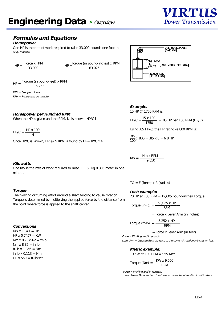## **Formulas and Equations**

#### **Horsepower**

One HP is the rate of work required to raise 33,000 pounds one foot in one minute.

 $HP = \frac{\text{Force x FPM}}{33,000}$   $HP = \frac{\text{Torque (in pound-inches)} \times RPM}{63,025}$ 

 $HP = \frac{Torque \text{ (in pound-feet)} \times RPM}{P}$ 5,252

FPM = Feet per minute RPM = Revolutions per minute

#### **Horsepower per Hundred RPM**

When the HP is given and the RPM, N, is known, HP/C is:

 $HP/C = \frac{HP x 100}{N}$ 

Once HP/C is known, HP @ N RPM is found by HP=HP/C x N



**Example:**

15 HP @ 1750 RPM is:

 $HP/C = \frac{15 \times 100}{100 \times 100} = .85 \text{ HP} \text{ per } 100 \text{ RPM } (\text{HP}/\text{C})$  $1750$ 

Using .85 HP/C, the HP rating  $@$  800 RPM is:

 $\frac{.85}{100}$  x 800 = .85 x 8 = 6.8 HP

$$
KW = \frac{Nm \times RPM}{9,550}
$$

#### **Kilowatts**

One KW is the rate of work required to raise 11,163 kg 0.305 meter in one minute.

#### **Torque**

The twisting or turning effort around a shaft tending to cause rotation. Torque is determined by multiplying the applied force by the distance from the point where force is applied to the shaft center.

#### **Conversions**

 $KW x 1.341 = HP$  $HP \times 0.7457 = KW$  $Nm \times 0.737562 = ft-lb$  $Nm x 8.85 = in-lb$ ft-lb x  $1.356 = Nm$ in-lb x 0.113 = Nm HP  $x 550 = ft-lb/sec$ 

 $TO = F$  (force) x R (radius)

#### **Inch example:**

20 HP at 100 RPM  $= 12,605$  pound-inches Torque

Torque (in-lb) = 
$$
\frac{-63,025 \times HP}{RPM}
$$

= Force x Lever Arm (in inches)

Torque (ft-lb) = 
$$
\frac{-5,252 \times \text{HP}}{\text{RPM}}
$$

 $=$  Force x Lever Arm (in feet)

Force = Working load in pounds

Lever Arm = Distance from the force to the center of rotation in inches or feet.

**Metric example:**

10 KW at 100 RPM = 955 Nm:

Torque (Nm) = 
$$
\frac{\text{KW} \times 9,550}{\text{RPM}}
$$

Force = Working load in Newtons

Lever Arm = Distance from the Force to the center of rotation in millimeters.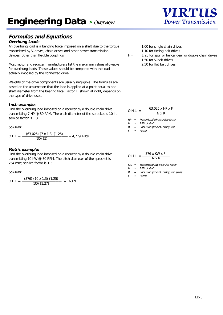## **Engineering Data** > Overview

## **Formulas and Equations**

#### **Overhung Loads**

An overhung load is a bending force imposed on a shaft due to the torque transmitted by V-drives, chain drives and other power transmission devices, other than flexible couplings.

Most motor and reducer manufacturers list the maximum values allowable for overhung loads. These values should be compared with the load actually imposed by the connected drive.

Weights of the drive components are usually negligible. The formulas are based on the assumption that the load is applied at a point equal to one shaft diameter from the bearing face. Factor F, shown at right, depends on the type of drive used.

#### **Inch example:**

Find the overhung load imposed on a reducer by a double chain drive transmitting 7 HP @ 30 RPM. The pitch diameter of the sprocket is 10 in.; service factor is 1.3.

#### Solution:

$$
0.H.L = \frac{(63,025) (7 \times 1.3) (1.25)}{(30) (5)} = 4,779.4 \text{ lbs.}
$$

#### **Metric example:**

Find the overhung load imposed on a reducer by a double chain drive transmitting 10 KW @ 30 RPM. The pitch diameter of the sprocket is 254 mm; service factor is 1.3.

#### Solution:

$$
O.H.L = \frac{(376) (10 \times 1.3) (1.25)}{(30) (1.27)} = 160 N
$$

1.00 for single chain drives

1.10 for timing belt drives

 $F =$  1.25 for spur or helical gear or double chain drives 1.50 for V-belt drives 2.50 for flat belt drives

| $0.H.L. =$ | 63,025 x HP x F |
|------------|-----------------|
|            | $N \times R$    |

 $HP =$  Transmitted HP x service factor

 $N = RPM$  of shaft

 $R =$  Radius of sprocket, pulley, etc.

 $F = Factor$ 

$$
O.H.L. = \frac{376 \times KW \times F}{N \times R}
$$

KW <sup>=</sup> Transmitted KW x service factor

 $N = RPM$  of shaft

 $R =$  Radius of sprocket, pulley, etc. (mm)

 $F = Factor$ 

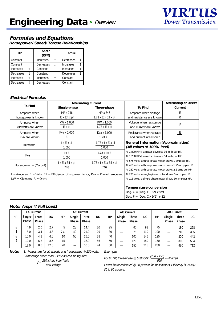

## **Formulas and Equations**

**Horsepower/Speed/Torque Relationships**

| НP               | <b>Speed</b><br>(RPM) | <b>Torque</b> |  |
|------------------|-----------------------|---------------|--|
| Constant         | Increases             | Decreases     |  |
| Constant         | Decreases             | Increases     |  |
| <b>Increases</b> | Constant              | Increases     |  |
| Decreases        | Constant              | Decreases     |  |
| <b>Increases</b> | Increases             | Constant      |  |
| Decreases        | Decreases             | Constant      |  |

#### **Electrical Formulas**

|                                                                                            | <b>Alternating Current</b>      |                                                        |                                                                                                                   | <b>Alternating or Direct</b> |  |
|--------------------------------------------------------------------------------------------|---------------------------------|--------------------------------------------------------|-------------------------------------------------------------------------------------------------------------------|------------------------------|--|
| <b>To Find</b>                                                                             | <b>Single-phase</b>             | <b>Three-phase</b>                                     | <b>To Find</b>                                                                                                    | <b>Current</b>               |  |
| Amperes when                                                                               | HP x 746                        | HP x 746                                               | Amperes when voltage                                                                                              | $rac{E}{R}$                  |  |
| horsepower is known                                                                        | $E \times Eff \times pf$        | 1.73 $x \in x$ Eff $x$ pf                              | and resistance are known                                                                                          |                              |  |
| Amperes when                                                                               | KW x 1,000                      | KW x 1,000                                             | Voltage when resistance                                                                                           | IR.                          |  |
| kilowatts are known                                                                        | $E \times pf$                   | 1.73 $\times$ E $\times$ pf                            | and current are known                                                                                             |                              |  |
| Amperes when                                                                               | Kva x 1,000                     | Kva x 1,000                                            | Resistance when voltage                                                                                           | E                            |  |
| Kva are known                                                                              | E                               | $1.73 \times E$                                        | and current are known                                                                                             |                              |  |
|                                                                                            | $l \times E \times p f$         | $1.73$ x $1$ x $E$ x pf                                | <b>General Information (Approximation)</b>                                                                        |                              |  |
| Kilowatts                                                                                  | 1,000                           | 1,000                                                  | (All values at 100% load)                                                                                         |                              |  |
|                                                                                            | l x E                           | $1.73$ x $1$ x E                                       | At 1,800 RPM, a motor develops 36 in-lb per HP.                                                                   |                              |  |
| Kva                                                                                        | 1,000                           | 1,000                                                  | At 1,200 RPM, a motor develops 54 in-lb per HP.                                                                   |                              |  |
|                                                                                            | $l \times E \times E$ ff $x$ pf | $1.73$ x $1$ x $E$ x $E$ ff x pf                       | At 575 volts, a three-phase motor draws 1 amp per HP.<br>At 460 volts, a three-phase motor draws 1.25 amp per HP. |                              |  |
| $Horsepower = (Output)$                                                                    | 746                             | 746                                                    |                                                                                                                   |                              |  |
|                                                                                            |                                 |                                                        | At 230 volts, a three-phase motor draws 2.5 amp per HP.                                                           |                              |  |
| $I =$ Amperes; $E =$ Volts; Eff = Efficiency; $pf =$ power factor; Kva = Kilovolt amperes; |                                 | At 230 volts, a single-phase motor draws 5 amp per HP. |                                                                                                                   |                              |  |
| $KW = Kilowatts; R = Ohms$                                                                 |                                 |                                                        | At 115 volts, a single-phase motor draws 10 amp per HP.                                                           |                              |  |
|                                                                                            |                                 |                                                        | <b>Temperature conversion</b>                                                                                     |                              |  |
|                                                                                            |                                 |                                                        |                                                                                                                   |                              |  |
|                                                                                            |                                 |                                                        | Deg. C = (Deg. $F - 32$ ) x 5/9                                                                                   |                              |  |
|                                                                                            |                                 |                                                        | Deg. $F = (Deg. C x 9/5) + 32$                                                                                    |                              |  |

#### **Motor Amps @ Full Load1**

|               | Alt. Current |        |      |      |              | Alt. Current |    |    |         | Alt. Current |     |     |              | Alt. Current |     |
|---------------|--------------|--------|------|------|--------------|--------------|----|----|---------|--------------|-----|-----|--------------|--------------|-----|
| ΗP            | Single-      | Three- | DC   | НP   | Single-      | Three-       | DC | ΗP | Single- | Three-       | DC  | HP  | Single-      | Three-       | DC  |
|               | <b>Phase</b> | Phase  |      |      | <b>Phase</b> | <b>Phase</b> |    |    | Phase   | <b>Phase</b> |     |     | <b>Phase</b> | <b>Phase</b> |     |
| $\frac{1}{2}$ | 4.9          | 2.0    | 2.7  | 5    | 28           | 14.4         | 20 | 25 |         | 60           | 92  | 75  |              | 180          | 268 |
|               | 8.0          | 3.4    | 4.8  | 71/2 | 40           | 21.0         | 29 | 30 |         | 75           | 110 | 100 |              | 240          | 355 |
| $1^{1/2}$     | 10.0         | 4.8    | 6.6  | 10   | 50           | 26.0         | 38 | 40 | –       | 100          | 146 | 125 |              | 300          | 443 |
| ົ             | 12.0         | 6.2    | 8.5  | 15   |              | 38.0         | 56 | 50 | –       | 120          | 180 | 150 |              | 360          | 534 |
| ົ             | 17.0         | 8.6    | 12.5 | 20   | —            | 50.0         | 74 | 60 |         | 150          | 215 | 200 |              | 480          | 712 |

Note: 1. Values are for all speeds and frequencies @ 230 volts. Amperage other than 230 volts can be figured:

 $V = \frac{230 \times \text{Amp from Table}}{}$ 

**New Voltage** 

Example:

For 60 HP, three-phase @ 550 volts:  $\frac{(230 \times 150)}{550}$  = 62 amps

Power factor estimated @ 80 percent for most motors. Efficiency is usually 80 to 90 percent.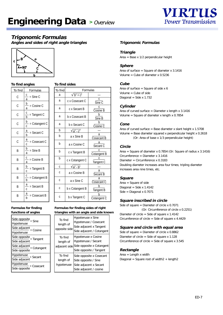

### **Trigonomic Formulas**

**Angles and sides of right angle triangles**



### **To find angles To find sides**

| To find | <b>Formulas</b>                           | To find |
|---------|-------------------------------------------|---------|
| С       | $\frac{c}{c}$ = Sine C                    | a       |
|         | а                                         | a       |
| С       | $\frac{b}{c}$ = Cosine C<br>а             | a       |
| С       | С<br>- = Tangent C<br>b                   | a       |
| С       | b<br>$=$ Cotangent C<br>C                 | a       |
| C       | а<br>· = Secant C                         | b       |
|         | b                                         | b       |
| C       | а<br>- = Cosecant C<br>C                  | b       |
| B       | $b_$<br>$=$ Sine B<br>а                   | b       |
| B       | $\frac{c}{c}$ = Cosine B<br>а             | b       |
| B       | $\frac{b}{c}$ = Tangent B                 | C       |
|         | с                                         | C       |
| B       | $\mathsf{c}_\_$<br>$-$ = Cotangent B<br>b | C       |
| B       | а<br>E Secant B<br>Ċ                      | C       |
| B       | а<br>$=$ Cosecant B<br>b                  | C       |

| To find | <b>Formulas</b>    |                                 |  |  |  |  |
|---------|--------------------|---------------------------------|--|--|--|--|
| а       | $\sqrt{b^2} + c^2$ |                                 |  |  |  |  |
| a       | c x Cosecant C     | C<br>$\overline{\text{Sine C}}$ |  |  |  |  |
| a       | c x Secant B       | Cosine B                        |  |  |  |  |
| a       | b x Cosecant B     | h<br>SineB                      |  |  |  |  |
| a       | b x Secant C       | Cosine C                        |  |  |  |  |
| b       | $\sqrt{a^2-c^2}$   |                                 |  |  |  |  |
| b       | a x Sine B         | a<br>Cosecant B                 |  |  |  |  |
| b       | a x Cosine C       | а<br>Secant C                   |  |  |  |  |
| b       | c x Tangent B      | Ć<br>Cotangent B                |  |  |  |  |
| b       | c x Cotangent C    | Tangent C                       |  |  |  |  |
| C       | $\sqrt{a^2 - b^2}$ |                                 |  |  |  |  |
| C       | a x Cosine B       | a<br>Secant B                   |  |  |  |  |
| C       | a x Sine C         | Cosecant C                      |  |  |  |  |
| C       | b x Cotangent B    | h<br>Tangent B                  |  |  |  |  |
| C       | b x Tangent C      | Cotangent C                     |  |  |  |  |

#### **Formulas for finding functions of angles**

| Side opposite<br>$=$ Sine<br>Hypotenuse       |
|-----------------------------------------------|
| Side adjacent<br>$=$ Cosine<br>Hypotenuse     |
| Side opposite<br>= Tangent<br>Side adjacent   |
| Side adjacent<br>= Cotangent<br>Side opposite |
| Hypotenuse<br>= Secant<br>Side adjacent       |
| Hypotenuse<br>$=$ Cosecant<br>Side opposite   |

#### **Formulas for finding sides of right triangles with an angle and side known**

| To find<br>length of<br>opposite side | <b>Hypotenuse x Sine</b><br>Hypotenuse / Cosecant<br>Side adjacent x Tangent<br>Side adjacent / Cotangent        |
|---------------------------------------|------------------------------------------------------------------------------------------------------------------|
| To find<br>length of                  | Hypotenuse x Cosine<br>Hypotenuse / Secant<br>adjacent side Side opposite x Cotangent<br>Side opposite / Tangent |
| To find<br>length of<br>hypotenuse    | Side opposite x Cosecant<br>Side opposite / Sine<br>Side adjacent x Secant<br>Side adjacent / cosine             |

#### **Trigonomic Formulas**

#### **Triangle**

Area = Base x  $1/2$  perpendicular height

#### **Sphere**

Area of surface  $=$  Square of diameter x 3.1416 Volume =  $C$ ube of diameter x 0.5236

#### **Cube**

Area of surface  $=$  Square of side x 6 Volume  $=$  Cube of side Diagonal = Side  $x$  1.732

#### **Cylinder**

Area of curved surface = Diameter x length  $x$  3.1416 Volume = Square of diameter x length x 0.7854

#### **Cone**

Area of curved surface = Base diameter x slant height x 1.5708 Volume = Base diameter squared x perpendicular height  $x$  0.2618 (Or: Area of base x 1/3 perpendicular height)

#### **Circle**

Area = Square of diameter x 0.7854 (Or: Square of radius x 3.1416) Circumference = Diameter x 3.1416 Diameter = Circumference x 0.3183 Doubling diameter increases area four times; tripling diameter increases area nine times, etc.

#### **Square**

Area = Square of side Diagonal = Side  $x 1.4142$ Side = Diagonal x 0.7071

#### **Square inscribed in circle**

Side of square = Diameter of circle x 0.7071 (Or: Circumference of circle x 0.2251) Diameter of circle = Side of square x 1.4142 Circumference of circle = Side of square x 4.4429

#### **Square and circle with equal area**

Side of square  $=$  Diameter of circle x 0.8862 Diameter of circle = Side of square x 1.128 Circumference of circle  $=$  Side of square x 3.545

#### **Rectangle**

Area = Length x width Diagonal = Square root of width $2 + \text{length2}$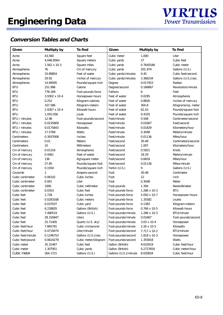

| Given                | <b>Multiply by</b>  | <b>To find</b>       | <b>Given</b>          | <b>Multiply by</b>   | <b>To find</b>           |
|----------------------|---------------------|----------------------|-----------------------|----------------------|--------------------------|
| Acres                | 43,560              | Square feet          | Cubic meter           | 1,000                | Liter                    |
| Acres                | 4,046.8564          | Square meters        | Cubic yards           | 27                   | <b>Cubic feet</b>        |
| Acres                | $1.562 \times 10-3$ | Square miles         | Cubic yards           | 0.7645548            | Cubic meter              |
| Atmospheres          | 76                  | Cm of mercury        | Cubic yards           | 201.974              | Gallons (U.S.)           |
| Atmospheres          | 33.89854            | Feet of water        | Cubic yards/minutes   | 0.45                 | Cubic feet/second        |
| Atmospheres          | 29.92               | Inches of mercury    | Cubic yards/minutes   | 3.366234             | Gallons (U.S.)/sec.      |
| Atmospheres          | 14.69595            | Pounds/square inch   | Degree                | 0.017453             | Radian                   |
| <b>BTU</b>           | 251.996             | Calorie              | Degree/second         | 0.166667             | <b>Revolution/minute</b> |
| <b>BTU</b>           | 778.169             | Foot-pounds-force    | Fathom                | 6                    | Feet                     |
| <b>BTU</b>           | 3.9302 x 10-4       | Horsepower-hours     | Feet of water         | 0.0295               | Atmospheres              |
| <b>BTU</b>           | 0.252               | Kilogram-calories    | Feet of water         | 0.8826               | Inches of mercury        |
| <b>BTU</b>           | 107.586             | Kilogram-meters      | Feet of water         | 304.8                | Kilograms/sq. meter      |
| <b>BTU</b>           | 2.9307 x 10-4       | Kilowatt-hours       | Feet of water         | 62.43                | Pounds/square foot       |
| <b>BTU</b>           | 1,055.056           | Joule                | Feet of water         | 0.4335               | Pounds/square inch       |
| <b>BTU</b> / minutes | 12.96               | Foot-pounds/second   | Feet/minute           | 0.508                | Centimeter/second        |
| BTU / minutes        | 0.0235809           | Horsepower           | Feet/minute           | 0.01667              | Feet/second              |
| BTU / minutes        | 0.0175843           | Kilowatts            | Feet/minute           | 0.01829              | Kilometers/hour          |
| BTU / minutes        | 17.5769             | <b>Watts</b>         | Feet/minute           | 0.3048               | Meters/minute            |
| <b>Centimeters</b>   | 0.3937008           | <b>Inches</b>        | Feet/minute           | 0.01136              | Miles/hour               |
| <b>Centimeters</b>   | 0.01                | <b>Meters</b>        | Feet/second           | 30.48                | Centimeters/second       |
| <b>Centimeters</b>   | 10                  | <b>Millimeters</b>   | Feet/second           | 1.097                | Kilometers/hour          |
| Cm of mercury        | 0.01316             | Atmospheres          | Feet/second           | 0.5921               | Knots                    |
| Cm of mercury        | 0.4461              | Feet of water        | Feet/second           | 18.29                | Meters/minute            |
| Cm of mercury        | 136                 | Kg/square meter      | Feet/second           | 0.6818               | Miles/hour               |
| Cm of mercury        | 27.85               | Pounds/square foot   | Feet/second           | 0.01136              | Miles/minute             |
| Cm of mercury        | 0.1934              | Pounds/square inch   | Ferkin (U.S.)         | 9                    | Gallons (U.S.)           |
| Coulomb              | 1                   | Ampere-second        | Foot                  | 30.48                | Centimeter               |
| Cubic centimeter     | 0.06102             | Cubic inches         | Foot                  | 12                   | Inch                     |
| Cubic centimeter     | 0.001               | Liter                | Foot                  | 0.3048               | Meter                    |
| Cubic centimeter     | 1000                | Cubic millimeter     | Foot-pounds           | 1.356                | NewtoNmeter              |
| Cubic centimeter     | 0.0353              | <b>Cubic feet</b>    | Foot-pounds-force     | $1.286 \times 10-3$  | <b>BTU</b>               |
| Cubic feet           | 1,728               | Cubic inches         | Foot-pounds-force     | $5.050 \times 10-7$  | Horsepower-hours         |
| Cubic feet           | 0.0283168           | Cubic meters         | Foot-pounds-force     | 1.35582              | <b>Joules</b>            |
| Cubic feet           | 0.037037            | Cubic yard           | Foot-pounds-force     | 0.1383               | Kilogram-meters          |
| Cubic feet           | 6.228835            | Gallons (British)    | Foot-pounds-force     | $0.766 \times 10-5$  | Kilowatt-hours           |
| Cubic feet           | 7.480519            | Gallons (U.S.)       | Foot-pounds/minute    | $1.286 \times 10-3$  | <b>BTU/minute</b>        |
| <b>Cubic feet</b>    | 28.316847           | Liters               | Foot-pounds/minute    | 0.01667              | Foot-pounds/second       |
| <b>Cubic feet</b>    | 25.71405            | Quarts (U.S. dry)    | Foot-pounds/minute    | $3.03 \times 10 - 4$ | Horsepower               |
| Cubic feet/hour      | 7.865791            | Cubic cm/second      | Foot-pounds/minute    | $2.26 \times 10-5$   | Kilowatts                |
| Cubic feet/hour      | 0.4719474           | Liter/minute         | Foot-pounds/second    | $7.717 \times 10-2$  | BTU/minute               |
| Cubic feet/minute    | 0.1246753           | Gallons (U.S.)/sec.  | Foot-pounds/second    | $1.818 \times 10-3$  | Horsepower               |
| Cubic feet/pound     | 0.0624279           | Cubic meter/kilogram | Foot-pounds/second    | 1.355818             | Watts                    |
| Cubic meter          | 35.31467            | <b>Cubic feet</b>    | Gallon (British)      | 9.632619             | Cubic feet/hour          |
| Cubic meter          | 1.307951            | Cubic yards          | Gallon (British)      | 0.2727654            | Cubic meter/hour         |
| Cubic meter          | 264.1721            | Gallons (U.S.)       | Gallons (U.S.)/minute | 8.020834             | Cubic feet/hour          |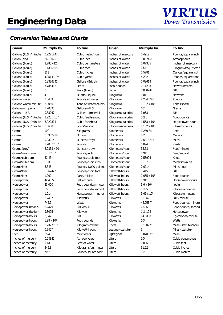

| Given                 | <b>Multiply by</b>      | <b>To find</b>        | Given                  | <b>Multiply by</b>      | <b>To find</b>       |
|-----------------------|-------------------------|-----------------------|------------------------|-------------------------|----------------------|
| Gallons (U.S.)/minute | 0.2271247               | Cubic meter/hour      | Inches of mercury      | 0.4912                  | Pounds/square inch   |
| Gallon (dry)          | 268.8025                | Cubic inch            | Inches of water        | 0.002458                | Atmospheres          |
| Gallons (liquid)      | 3,785.412               | Cubic centimeters     | Inches of water        | 0.07355                 | Inches of mercury    |
| Gallons (liquid)      | 0.1336805               | <b>Cubic feet</b>     | Inches of water        | 25.4                    | Kilograms/sq. meter  |
| Gallons (liquid)      | 231                     | Cubic inches          | Inches of water        | 0.5781                  | Ounces/square inch   |
| Gallons (liquid)      | 4.951 x $10^{-3}$       | Cubic yards           | Inches of water        | 5.202                   | Pounds/square foot   |
| Gallons (liquid)      | 0.8326742               | Gallons (British)     | Inches of water        | 0.03613                 | Pounds/square inch   |
| Gallons (liquid)      | 3.785412                | Liters                | Inch-pounds            | 0.11298                 | <b>NewtoNmeters</b>  |
| Gallons (liquid)      | 8                       | Pints (liquid)        | Joule                  | 0.000948                | <b>BTU</b>           |
| Gallons (liquid)      | 4                       | Quarts (liquid)       | Kilograms              | 9.81                    | <b>Newtons</b>       |
| <b>Gallons</b> water  | 8.3453                  | Pounds of water       | Kilograms              | 2.2046226               | Pounds               |
| Gallons water/minute  | 6.0086                  | Tons of water/24 hrs. | Kilograms              | $1.102 \times 10^{-3}$  | Tons (short)         |
| Gallons-Imperial      | 1.20095                 | Gallons-U.S.          | Kilograms              | 10 <sup>3</sup>         | Grams                |
| Gallons-U.S.          | 0.83267                 | Gallons-Imperial      | Kilograms-calories     | 3.968                   | <b>BTU</b>           |
| Gallons (U.S.)/minute | $2.228 \times 10^{-3}$  | Cubic feet/second     | Kilograms-calories     | 3086                    | Foot-pounds          |
| Gallons (U.S.)/minute | 8.020834                | Cubic feet/hour       | Kilograms-calories     | $1.558 \times 10^{-3}$  | Horsepower-hours     |
| Gallons (U.S.)/minute | 0.06308                 | Liters/second         | Kilograms-calories     | $1.162 \times 10^{-3}$  | Kilowatt-hours       |
| Grams                 | $10^{-3}$               | Kilograms             | Kilometers             | 3,280.84                | Feet                 |
| Grams                 | 0.0352739               | <b>Ounces</b>         | Kilometers             | 10 <sup>3</sup>         | <b>Meters</b>        |
| Grams                 | 0.03215                 | <b>Ounces</b> (troy)  | Kilometers             | 0.6213712               | <b>Miles</b>         |
| Grams                 | $2.205 \times 10^{-3}$  | Pounds                | Kilometers             | 1,094                   | Yards                |
| Grams (troy)          | $2.0833 \times 10^{-3}$ | <b>Ounces</b> (troy)  | Kilometers/hour        | 54.68                   | Feet/minute          |
| Grams/centimeter      | $5.6 \times 10^{-3}$    | Pounds/inch           | Kilometers/hour        | 0.9113                  | Feet/second          |
| Grams/cubic cm        | 62.43                   | Pounds/cubic foot     | Kilometers/hour        | 0.53996                 | Knots                |
| Grams/cubic cm        | 0.03613                 | Pounds/cubic inch     | Kilometers/hour        | 16.67                   | Meters/minute        |
| Grams/liter           | 8.345                   | Pounds/1,000 gallons  | Kilometers/hour        | 0.6214                  | Miles/hour           |
| Grams/liter           | 0.062427                | Pounds/cubic foot     | <b>Killowatt-hours</b> | 3,415                   | <b>BTU</b>           |
| Grams/liter           | 1,000                   | Parts/million         | <b>Killowatt-hours</b> | 2.655 x 10 <sup>6</sup> | Foot-pounds          |
| Horsepower            | 42.4072                 | BTU/minute            | <b>Killowatt-hours</b> | 1.341                   | Horsepower-hours     |
| Horsepower            | 33,000                  | Foot-pounds/minute    | Killowatt-hours        | $3.6 \times 10^6$       | Joule                |
| Horsepower            | 550                     | Foot-pounds/second    | Killowatt-hours        | 860.5                   | Kilogram-calories    |
| Horsepower            | 1.014                   | Horsepower (metric)   | <b>Killowatt-hours</b> | $3.67 \times 10^{5}$    | Kilogram-meters      |
| Horsepower            | 0.7457                  | Kilowatts             | Kilowatts              | 56.869                  | <b>BTU/minute</b>    |
| Horsepower            | 745.7                   | Watts                 | <b>Kilowatts</b>       | 44,253.7                | Foot-pounds/minute   |
| Horsepower (boiler)   | 33,479                  | <b>BTU/hour</b>       | Kilowatts              | 737.6                   | Foot-pounds/second   |
| Horsepower (boiler)   | 9.8095                  | Kilowatt              | Kilowatts              | 1.34102                 | Horsepower           |
| Horsepower-hours      | 2,547                   | <b>BTU</b>            | Kilowatts              | 14.3308                 | Kg-calories/minute   |
| Horsepower-hours      | 1.98 x 10 <sup>6</sup>  | Foot-pounds           | Kilowatts              | 10 <sup>3</sup>         | <b>Watts</b>         |
| Horsepower-hours      | 2.737 x 10 <sup>5</sup> | Kilogram-meters       | Knots                  | 1.150779                | Miles (statute)/hour |
| Horsepower-hours      | 0.7457                  | Kilowatt-hours        | League (statute)       | 3                       | Miles (statute)      |
| Inch                  | 25.4                    | <b>Millimeters</b>    | Light year             | 5.8785 x 1012           | <b>Miles</b>         |
| Inches of mercury     | 0.03342                 | Atmospheres           | Liters                 | 10 <sup>3</sup>         | Cubic centimeters    |
| Inches of mercury     | 1.133                   | Feet of water         | Liters                 | 0.03531                 | Cubic feet           |
| Inches of mercury     | 345.3                   | Kilograms/sq. meter   | Liters                 | 61.02                   | Cubic inches         |
| Inches of mercury     | 70.73                   | Pounds/square foot    | Liters                 | $10^{-3}$               | Cubic meters         |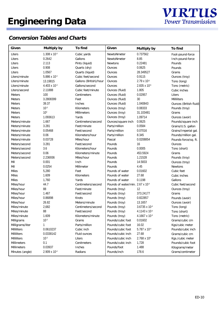

| Given              | <b>Multiply by</b>     | <b>To find</b>         | Given                                        | <b>Multiply by</b>     | <b>To find</b>                |
|--------------------|------------------------|------------------------|----------------------------------------------|------------------------|-------------------------------|
| Liters             | $1.308 \times 10^{-3}$ | Cubic yards            | NewtoNmeter                                  | 0.737562               | Foot-pound-force              |
| Liters             | 0.2642                 | Gallons                | NewtoNmeter                                  | 8.85                   | Inch-pound-force              |
| Liters             | 2.113                  | Pints (liquid)         | <b>Newtons</b>                               | 0.22481                | Pounds                        |
| Liters             | 0.908                  | Quarts (dry)           | <b>Ounces</b>                                | 0.0625                 | Pounds                        |
| Liters             | 1.0567                 | Quarts (liquid)        | <b>Ounces</b>                                | 28.349527              | Grams                         |
| Liters/minute      | 5.886 x 10-4           | Cubic feet/second      | <b>Ounces</b>                                | 0.9115                 | Ounces (troy)                 |
| Liters/minute      | 13.19815               | Gallons (British)/hour | <b>Ounces</b>                                | $2.79 \times 10^{-5}$  | Tons (long)                   |
| Liters/minute      | $4.403 \times 10^{-3}$ | Gallons/second         | <b>Ounces</b>                                | $2.835 \times 10^{-5}$ | Tons (metric)                 |
| Liters/second      | 2.11888                | Cubic feet/minute      | <b>Ounces</b> (fluid)                        | 1.805                  | Cubic inches                  |
| <b>Meters</b>      | 100                    | Centimeters            | <b>Ounces</b> (fluid)                        | 0.02957                | Liters                        |
| <b>Meters</b>      | 3.2808399              | Feet                   | <b>Ounces</b> (fluid)                        | 30                     | <b>Milliliters</b>            |
| <b>Meters</b>      | 39.37                  | <b>Inches</b>          | <b>Ounces</b> (fluid)                        | 1.040843               | <b>Ounces</b> (British fluid) |
| <b>Meters</b>      | $10^{-3}$              | Kilometers             | <b>Ounces</b> (troy)                         | 0.08333                | Pounds (troy)                 |
| <b>Meters</b>      | 10 <sup>3</sup>        | <b>Millimeters</b>     | Ounces (troy)                                | 31.103481              | Grams                         |
| <b>Meters</b>      | 1.093613               | Yards                  | Ounces (troy)                                | 1.09714                | Ounces (avoir)                |
| Meters/minute      | 1.667                  | Centimeters/second     | Ounces/square inch                           | 0.0625                 | Pounds/square inch            |
| Meters/minute      | 3.281                  | Feet/minute            | Parts/million                                | 0.0584                 | Grains/U.S. gallon            |
| Meters/minute      | 0.05468                | Feet/second            | Parts/million                                | 0.07016                | Grains/Imperial gal.          |
| Meters/minute      | 0.06                   | Kilometers/hour        | Parts/million                                | 8.345                  | Pounds/million gal.           |
| Meters/minute      | 0.03728                | Miles/hour             | Pascal                                       | 0.0208854              | Pounds-force/sq. ft.          |
| Meters/second      | 3.281                  | Feet/second            | Pounds                                       | 16                     | <b>Ounces</b>                 |
| Meters/second      | 3.6                    | Kilometers/hour        | Pounds                                       | 0.0005                 | Tons (short)                  |
| Meters/second      | 0.06                   | Kilometers/minute      | Pounds                                       | 453.5924               | Grams                         |
| Meters/second      | 2.236936               | Miles/hour             | Pounds                                       | 1.21528                | Pounds (troy)                 |
| Mil                | 0.001                  | Inch                   | Pounds                                       | 14.5833                | <b>Ounces</b> (troy)          |
| Mil                | 0.0254                 | <b>Millimeter</b>      | Pounds                                       | 4.45                   | <b>Newtons</b>                |
| <b>Miles</b>       | 5,280                  | Feet                   | Pounds of water                              | 0.01602                | <b>Cubic feet</b>             |
| <b>Miles</b>       | 1.609                  | Kilometers             | Pounds of water                              | 27.68                  | Cubic inches                  |
| <b>Miles</b>       | 1,760                  | Yards                  | Pounds of water                              | 0.1198                 | Gallons                       |
| Miles/hour         | 44.7                   | Centimeters/second     | Pounds of water/min. 2.67 x 10 <sup>-4</sup> |                        | Cubic feet/second             |
| Miles/hour         | 88                     | Feet/minute            | Pounds (troy)                                | 12                     | Ounces (troy)                 |
| Miles/hour         | 1.467                  | Feet/second            | Pounds (troy)                                | 373.24177              | Grams                         |
| Miles/hour         | 0.86898                | Knots                  | Pounds (troy)                                | 0.822857               | Pounds (avoir)                |
| Miles/hour         | 26.82                  | Meters/minute          | Pounds (troy)                                | 13.1657                | Ounces (avoir)                |
| Miles/minute       | 2,682                  | Centimeters/second     | Pounds (troy)                                | 3.6735 x 10-4          | Tons (long)                   |
| Miles/minute       | 88                     | Feet/second            | Pounds (troy)                                | 4.1143 x 10-4          | Tons (short)                  |
| Miles/minute       | 1.609                  | Kilometers/minute      | Pounds (troy)                                | 4.1667 x 10-3          | Tons (metric)                 |
| <b>Milligrams</b>  | $10^{-3}$              | Grams                  | Pounds/cubic foot                            | 0.01602                | Grams/cubic cm                |
| Milligrams/liter   | 1                      | Parts/million          | Pounds/cubic foot                            | 16.02                  | Kgs/cubic meter               |
| <b>Milliliters</b> | 0.0610237              | Cubic inch             | Pounds/cubic foot                            | 5.787 x 10-4           | Pounds/cubic inch             |
| <b>Milliliters</b> | 0.0338142              | <b>Fluid ounces</b>    | Pounds/cubic inch                            | 27.68                  | Grams/cubic cm                |
| <b>Milliliters</b> | $10^{-3}$              | <b>Liters</b>          | Pounds/cubic inch                            | 2.768 x 104            | Kgs./cubic meter              |
| <b>Millimeters</b> | 0.1                    | Cenitmeters            | Pounds/cubic inch                            | 1,728                  | Pounds/cubic foot             |
| <b>Millimeters</b> | 0.03937                | <b>Inches</b>          | Pounds/foot                                  | 1.488                  | Kilograms/meter               |
| Minutes (angle)    | 2.909 x 10-4           | Radians                | Pounds/inch                                  | 178.6                  | Grams/centimeter              |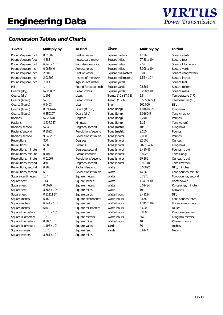

| Given                     | <b>Multiply by</b>      | <b>To find</b>         | Given                     | <b>Multiply by</b>      | To find            |
|---------------------------|-------------------------|------------------------|---------------------------|-------------------------|--------------------|
| Pounds/square foot        | 0.01602                 | Feet of water          | <b>Square meters</b>      | 1.196                   | Square yards       |
| Pounds/square foot        | 4.883                   | Kgs/square meter       | Square miles              | 27.88 x 10 <sup>6</sup> | Square feet        |
| Pounds/square foot        | $6.945 \times 10^{-3}$  | Pounds/square inch     | Square miles              | 2.59                    | Square kilometers  |
| Pounds/square inch        | 0.068046                | Atmospheres            | Square miles              | $3.098 \times 10^{6}$   | Square yards       |
| Pounds/square inch        | 2.307                   | Feet of water          | Square millimeters        | 0.01                    | Square centimeters |
| Pounds/square inch        | 2.03602                 | Inches of mercury      | Square millimeters        | $1.55 \times 10^{-3}$   | Square inches      |
| Pounds/square inch        | 703.1                   | Kgs/square meter       | Square yards              | 9                       | Square feet        |
| Psi                       | 1                       | Pound-force/sq. inch   | Square yards              | 0.8361                  | Square meters      |
| Quarts (dry)              | 67.200625               | Cubic inches           | Square yards              | $3.228 \times 10^{-7}$  | Square miles       |
| Quarts (dry)              | 1.101                   | Liters                 | Temp. $(^{\circ}C+17.78)$ | 1.8                     | Temperature (°F)   |
| Quarts (liquid)           | 57.75                   | Cubic inches           | Temp. (°F-32)             | 0.55556(5/9)            | Temperature (°C)   |
| Quarts (liquid)           | 0.9463                  | Liter                  | Therm                     | 100,000                 | <b>BTU</b>         |
| Quarts (liquid)           | 0.8326742               | <b>Quart</b> (British) | Tons (long)               | 1,016.0469              | Kilograms          |
| Quarts (liquid)           | 0.859367                | Quart (dry)            | Tons (long)               | 1.016047                | Tons (metric)      |
| Radians                   | 57.29578                | <b>Degrees</b>         | Tons (long)               | 2,240                   | Pounds             |
| <b>Radians</b>            | 3,437.747               | <b>Minutes</b>         | Tons (long)               | 1.12                    | Tons (short)       |
| Radians/second            | 57.3                    | Degrees/second         | Tons (metric)             | 10 <sup>3</sup>         | Kilograms          |
| Radians/second            | 0.1592                  | Revolutions/second     | Tons (metric)             | 2,205                   | Pounds             |
| Radians/second            | 9.549297                | Revolutions/minute     | Tons (short)              | 2,000                   | Pounds             |
| <b>Revolutions</b>        | 360                     | <b>Degrees</b>         | Tons (short)              | 32,000                  | <b>Ounces</b>      |
| <b>Revolutions</b>        | 6.283                   | Radians                | Tons (short)              | 907.18486               | Kilograms          |
| Revolutions/minute        | 6                       | Degrees/second         | Tons (short)              | 2,430.56                | Pounds (troy)      |
| Revolutions/minute        | 0.1047                  | Radians/second         | Tons (short)              | 0.89287                 | Tons (long)        |
| Revolutions/minute        | 0.01667                 | Revolutions/second     | Tons (short)              | 29,166                  | Ounces (troy)      |
| Revolutions/second        | 360                     | Degrees/second         | Tons (short)              | 0.90718                 | Tons (metric)      |
| Revolutions/second        | 6.283                   | Radians/second         | <b>Watts</b>              | 0.05692                 | <b>BTU/minutes</b> |
| Revolutions/second        | 60                      | Revolutions/minute     | <b>Watts</b>              | 44.26                   | Foot-pounds/minute |
| <b>Square centimeters</b> | $10^{-4}$               | Square meters          | <b>Watts</b>              | 0.7376                  | Foot-pounds/second |
| Square feet               | 144                     | Square inches          | <b>Watts</b>              | $1.341 \times 10^{-3}$  | Horsepower         |
| Square feet               | 0.0929                  | Square meters          | <b>Watts</b>              | 0.01434                 | Kg-calories/minute |
| Square feet               | $3.587 \times 10^{-3}$  | Square miles           | <b>Watts</b>              | $10^{-3}$               | Kilowatts          |
| Square feet               | $0.11111$ $(1/9)$       | Square yards           | <b>Watts-hours</b>        | 3.41214                 | <b>BTU</b>         |
| Square inches             | 6.452                   | Square centimeters     | <b>Watts-hours</b>        | 2,655                   | Foot-pounds-force  |
| Square inches             | $6.944 \times 10^{-3}$  | Square feet            | <b>Watts-hours</b>        | $1.341 \times 10^{-3}$  | Horsepower-hours   |
| Square inches             | 645.2                   | Square millimeters     | <b>Watts-hours</b>        | 3,600                   | Joules             |
| Square kilometers         | 10.76 x 10 <sup>6</sup> | Square feet            | <b>Watts-hours</b>        | 0.8605                  | Kilogram-calories  |
| Square kilometers         | 10 <sup>6</sup>         | Square meters          | <b>Watts-hours</b>        | 367.1                   | Kilogram-meters    |
| Square kilometers         | 0.3861                  | Square miles           | <b>Watts-hours</b>        | $10^{-3}$               | Kilowatt-hours     |
| Square kilometers         | $1.196 \times 10^{6}$   | Square yards           | Yards                     | 36                      | <b>Inches</b>      |
| <b>Square meters</b>      | 10.76                   | Square feet            | Yards                     | 0.9144                  | <b>Meters</b>      |
| <b>Square meters</b>      | $3.861 \times 10^{-7}$  | Square miles           |                           |                         |                    |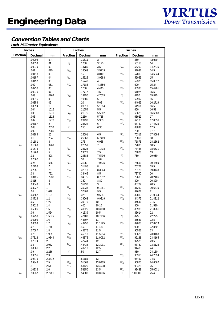**Inch-Millimeter Equivalents**

|                 | <b>Inches</b>    |             |                 | <b>Inches</b>    |                 | <b>Inches</b>   |                  |                 |
|-----------------|------------------|-------------|-----------------|------------------|-----------------|-----------------|------------------|-----------------|
| <b>Fraction</b> | <b>Decimal</b>   | mm          | <b>Fraction</b> | <b>Decimal</b>   | mm              | <b>Fraction</b> | <b>Decimal</b>   | mm              |
|                 | .00004           | .001        |                 | .11811           | $\mathbf{3}$    |                 | .550             | 13.970          |
|                 | .00039           | .01         | $\frac{1}{8}$   | .1250            | 3.175           |                 | .55118           | 14              |
|                 | .00079           | .02         |                 | .13780           | 3.5             | $^{9}/_{16}$    | .56250           | 14.2875         |
|                 | .001             | .025        | 9/64            | .14063           | 3.5719          |                 | .57087           | 14.5            |
|                 | .00118           | .03         |                 | .150             | 3.810           | 37/64           | .57813           | 14.6844         |
|                 | .00157           | .04<br>.05  | 5/32            | .15625           | 3.9688<br>4     | 19/32           | .59055<br>.59375 | 15<br>15.0812   |
|                 | .00197<br>.002   | .051        | 11/64           | .15748<br>.17188 | 4.3656          |                 | .600             | 15.24           |
|                 | .00236           | .06         |                 | .1750            | 4.445           | 39/64           | .60938           | 15.4781         |
|                 | .00276           | .07         |                 | .17717           | 4.5             |                 | .61024           | 15.5            |
|                 | .003             | .0762       | $^{3}/_{16}$    | .18750           | 4.7625          | $5/8$           | .6250            | 15.875          |
|                 | .00315           | .08         |                 | .19685           | 5               |                 | .62992           | 16              |
|                 | .00354           | .09         |                 | .20              | 5.08            | 41/64           | .64063           | 16.2719         |
|                 | .00394           | .1          | 13/64           | .20313           | 5.1594          |                 | .64961           | 16.5            |
|                 | .004             | .1016       |                 | .21654           | 5.5             |                 | .650             | 16.51           |
|                 | .005             | .1270       | $^{7}/_{32}$    | .21875           | 5.5562          | 21/32           | .65625           | 16.6688         |
|                 | .006             | .1524       |                 | .2250            | 5.715           |                 | .66929           | 17              |
|                 | .007             | .1778       | 15/64           | .23438           | 5.9531          | 43/64           | .67188           | 17.0656         |
|                 | .00787           | $\cdot$ .2  |                 | .23622           | 6               | 11/16           | .68750           | 17.4625         |
|                 | .008             | .2032       | $\frac{1}{4}$   | .250             | 6.35            |                 | .68898           | 17.5            |
|                 | .009             | .2286       |                 |                  |                 |                 | .700             | 17.78           |
|                 | .00984           | .25         |                 | .25591           | 6.5             | 45/64           | .70313           | 17.8594         |
|                 | .01              | .254        | 17/64           | .26563           | 6.7469          |                 | .70866           | 18              |
|                 | .01181           | $\cdot$ 3   |                 | .275             | 6.985           | 23/32           | .71875           | 18.2562         |
| $\frac{1}{64}$  | .01563           | .3969       |                 | .27559           | $\overline{7}$  |                 | .72835           | 18.5            |
|                 | .01575           | .4          | 9/32            | .28125           | 7.1438          | 47/64           | .73438           | 18.6531         |
|                 | .01969           | $.5\,$      |                 | .29528           | 7.5             |                 | .74803           | 19              |
|                 | .02              | .508        | 19/64           | .29688           | 7.5406          | $\frac{3}{4}$   | .750             | 19.050          |
|                 | .02362<br>.025   | 6.5<br>.635 | 5/16            | .30<br>.3125     | 7.62<br>7.9375  | 49/64           | .76563           | 19.4469         |
|                 | .02756           | .7          |                 | .31496           | 8               |                 | .76772           | 19.5            |
|                 | .0295            | .75         | 21/64           | .32813           | 8.3344          | 25/32           | .78125           | 19.8438         |
|                 | .03              | .762        |                 | .33465           | 8.5             |                 | .78740           | 20              |
| $\frac{1}{32}$  | .03125           | .7938       | 11/32           | .34375           | 8.7312          | 51/64           | .79688           | 20.2406         |
|                 | .0315            | .8          |                 | .350             | 8.89            |                 | .800             | 20.320          |
|                 | .03543           | .9          |                 | .35433           | 9               |                 | .80709           | 20.5            |
|                 | .03937           | 1           | 23/64           | .35938           | 9.1281          | 13/16           | .81250           | 20.6375         |
|                 | .04              | 1.016       |                 | .37402           | 9.5             |                 | .82677           | 21              |
| $^{3}/_{64}$    | .04687           | 1.191       | 3/8             | .375             | 9.525           | 53/64           | .82813           | 21.0344         |
|                 | .04724           | 1.2         | 25/64           | .39063           | 9.9219          | 27/32           | .84375           | 21.4312         |
|                 | .05              | 1.27        |                 | .39370           | 10              |                 | .84646           | 21.5            |
|                 | .05512           | 1.4         |                 | .400             | 10.16           |                 | .850             | 21.590          |
|                 | .05906           | 1.5         | 13/32           | .40625           | 10.3188         | 55/64           | .85938           | 21.8281         |
|                 | .06              | 1.524       |                 | .41339           | 10.5            |                 | .86614           | 22              |
| $\frac{1}{16}$  | .06250           | 1.5875      | 27/64           | .42188           | 10.7156         | $\frac{7}{8}$   | .875             | 22.225          |
|                 | .06299           | 1.6         |                 | .43307           | 11              |                 | .88583           | 22.5            |
|                 | .06693           | 1.7         | $\frac{7}{16}$  | .43750           | 11.1125         | 57/64           | .89063           | 22.6219         |
|                 | .07              | 1.778       |                 | .450             | 11.430          |                 | .900             | 22.860          |
|                 | .07087           | 1.8         |                 | .45276           | 11.5<br>11.5094 |                 | .90551           | 23              |
|                 | .075             | 1.905       | 29/64           | .45313<br>.46875 |                 | 29/32           | .90625           | 23.0188         |
| $\frac{5}{64}$  | .07813<br>.07874 | 1.9844<br>2 | 15/32           | .47244           | 11.9062<br>12   | 59/64           | .92188<br>.92520 | 23.4165<br>23.5 |
|                 | .08              | 2.032       | 31/64           | .48438           | 12.3031         | 15/16           | .93750           | 23.8125         |
|                 | .08661           | 2.2         |                 | .49213           | 12.5            |                 | .94488           | 24              |
|                 | .09              | 2.286       | $\frac{1}{2}$   | .50              | 12.7            |                 | .950             | 24.130          |
|                 | .09055           | 2.3         |                 |                  |                 | 61/64           | .95313           | 24.2094         |
| 3/32            | .09375           | 2.3812      |                 | .51181           | 13              |                 | .96457           | 24.5            |
|                 | .09843           | 2.5         | 33/64           | .51563           | 13.0969         | 31/32           | .96875           | 24.6062         |
|                 | .1               | 2.54        | 17/32           | .53125           | 13.4938         |                 | .98425           | 25              |
|                 | .10236           | 2.6         |                 | .53150           | 13.5            | 63/64           | .98438           | 25.0031         |
| $^{7}/_{64}$    | .10937           | 2.7781      | $^{35}\!/_{64}$ | .54688           | 13.8906         | 1               | 1.00000          | 25.4            |
|                 |                  |             |                 |                  |                 |                 |                  |                 |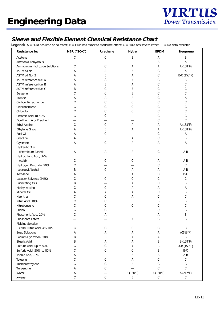

### **Sleeve and Flexible Element Chemical Resistance Chart**

**Legend:**  $A =$  Fluid has little or no effect;  $B =$  Fluid has minor to moderate effect;  $C =$  Fluid has severe effect;  $- =$  No data available

| <b>Resistance to:</b>               | NBR ("SOX") | <b>Urethane</b> | <b>Hytrel</b> | <b>EPDM</b>  | <b>Neoprene</b> |
|-------------------------------------|-------------|-----------------|---------------|--------------|-----------------|
| Acetone                             | $\mathsf C$ | $\mathsf C$     | В             | Α            | B               |
| Ammonia Anhydrous                   |             |                 |               | Α            | Α               |
| <b>Ammonium Hydroxide Solutions</b> | С           | С               | А             | Α            | A (158°F)       |
| ASTM oil No. 1                      | А           | Α               | А             | С            | А               |
| ASTM oil No. 3                      | А           | В               | Α             | С            | B-C (158°F)     |
| <b>ASTM</b> reference fuel A        | А           |                 | Α             | С            | Β               |
| <b>ASTM</b> reference fuel B        | А           | В               | Α             | С            | С               |
| ASTM reference fuel C               | Β           | С               | В             | С            | С               |
| Benzene                             | С           | С               | В             | С            | С               |
| <b>Butane</b>                       | А           | Α               | Α             | С            | Α               |
| Carbon Tetrachloride                | С           | С               | С             | С            | С               |
| Chlorobenzene                       | С           | С               | С             | С            | С               |
| Chloroform                          | С           | С               | С             | С            | С               |
| Chromic Acid 10-50%                 | С           | С               |               | С            | С               |
| Dowtherm A or E solvent             |             |                 |               | С            | C               |
| <b>Ethyl Alcohol</b>                | С           | С               | А             | Α            | A (158°F)       |
| <b>Ethylene Glyco</b>               | Α           | В               | А             | А            | A (158°F)       |
| <b>Fuel Oil</b>                     | Α           | С               |               | С            | Α               |
| Gasoline                            | Α           | В               | А             | С            | В               |
| Glycerine                           | Α           | C               | Α             | А            | Α               |
|                                     |             |                 |               |              |                 |
| <b>Hydraulic Oils</b>               |             |                 |               |              |                 |
| (Petroleum Based)                   | А           | Α               | Α             | С            | A-B             |
| Hydrochloric Acid, 37%              |             |                 |               |              |                 |
| (cold)                              | С           | С               | C             | Α            | A-B             |
| Hydrogen Peroxide, 90%              | С           |                 |               | С            | $\mathbb C$     |
| <b>Isopropyl Alcohol</b>            | Β           | С               | А             | Α            | A-B             |
| Kerosene                            | А           | B               | Α             | С            | B-C             |
| <b>Lacquer Solvents (MEK)</b>       | С           | С               | С             | С            | C               |
| <b>Lubricating Oils</b>             | В           |                 | Α             | С            | В               |
| <b>Methyl Alcohol</b>               | С           | С               | Α             | Α            | Α               |
| Mineral Oil                         | А           | Α               | Α             | С            | В               |
| Naphtha                             | С           | С               | Α             | С            | С               |
| Nitric Acid, 10%                    | C           | С               | В             | B            | В               |
| Nitrobenzene                        | С           | С               | С             | С            | С               |
| Phenol                              | С           | С               | B             | С            | С               |
| Phosphoric Acid, 20%                |             |                 |               | $\mathbf{r}$ |                 |
| <b>Phosphate Esters</b>             |             |                 | А             | $\mathsf C$  | C               |
| <b>Pickling Solution</b>            |             |                 |               |              |                 |
| (20% Nitric Acid, 4% HP)            | С           | С               | С             | C            | $\mathsf C$     |
| <b>Soap Solutions</b>               | Α           | А               | Α             | Α            | A(158°F)        |
| Sodium Hydroxide, 20%               | В           | B               | Α             | Α            | B               |
| <b>Stearic Acid</b>                 | В           | Α               | Α             | В            | B (158°F)       |
| Sulfuric Acid, up to 50%            | С           | C               | Α             | B            | A-B (158°F)     |
| Sulfuric Acid, 50% to 80%           | С           | С               | С             | В            | B-C             |
| Tannic Acid, 10%                    | Α           |                 | Α             | A            | $A - B$         |
| <b>Toluene</b>                      | С           | С               | Α             | С            | $\mathsf C$     |
| Trichloroethylene                   | С           | C               | В             | С            | $\mathsf C$     |
| Turpentine                          | Α           | С               |               | C            | $\mathsf C$     |
| Water                               | Α           |                 | B (158°F)     | A (158°F)    | A (212°F)       |
| <b>Xylene</b>                       | С           | $\mathsf C$     | Β             | C            | C               |
|                                     |             |                 |               |              |                 |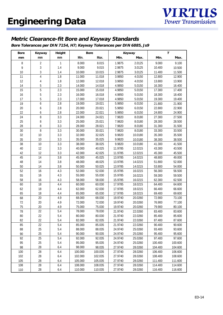## **Metric Clearance-fit Bore and Keyway Standards**

**Bore Tolerances per DIN 7154, H7; Keyway Tolerances per DIN 6885, Js9**

| <b>Bore</b> | Keyway | <b>Height</b> |         | <b>Bore</b> |         | Keyway  |         | T       |
|-------------|--------|---------------|---------|-------------|---------|---------|---------|---------|
| mm          | mm     | mm            | Min.    | Max.        | Min.    | Max.    | Min.    | Max.    |
| 8           | 2      | 1             | 8.000   | 8.015       | 1.9875  | 2.0125  | 9.000   | 9.100   |
| 9           | 3      | 1.4           | 9.000   | 9.015       | 2.9875  | 3.0125  | 10.400  | 10.500  |
| 10          | 3      | 1.4           | 10.000  | 10.015      | 2.9875  | 3.0125  | 11.400  | 11.500  |
| 11          | 4      | 1.8           | 11.000  | 11.018      | 3.9850  | 4.0150  | 12.800  | 12.900  |
| 12          | 4      | 1.8           | 12.000  | 12.018      | 3.9850  | 4.0150  | 13.800  | 13.900  |
| 14          | 5      | 2.3           | 14.000  | 14.018      | 4.9850  | 5.0150  | 16.300  | 16.400  |
| 15          | 5      | 2.3           | 15.000  | 15.018      | 4.9850  | 5.0150  | 17.300  | 17.400  |
| 16          | 5      | 2.3           | 16.000  | 16.018      | 4.9850  | 5.0150  | 18.300  | 18.400  |
| 17          | 5      | 2.3           | 17.000  | 17.018      | 4.9850  | 5.0150  | 19.300  | 19.400  |
| 19          | 6      | 2.8           | 19.000  | 19.021      | 5.9850  | 6.0150  | 21.800  | 21.900  |
| 20          | 6      | 2.8           | 20.000  | 20.021      | 5.9850  | 6.0150  | 22.800  | 22.900  |
| 22          | 6      | 2.8           | 22.000  | 22.021      | 5.9850  | 6.0150  | 24.800  | 24.900  |
| 24          | 8      | 3.3           | 24.000  | 24.021      | 7.9820  | 8.0180  | 27.300  | 27.500  |
| 25          | 8      | 3.3           | 25.000  | 25.021      | 7.9820  | 8.0180  | 28.300  | 28.500  |
| 28          | 8      | 3.3           | 28.000  | 28.021      | 7.9820  | 8.0180  | 31.300  | 31.500  |
| 30          | 8      | 3.3           | 30.000  | 30.021      | 7.9820  | 8.0180  | 33.300  | 33.500  |
| 32          | 10     | 3.3           | 32.000  | 32.025      | 9.9820  | 10.0180 | 35.300  | 35.500  |
| 35          | 10     | 3.3           | 35.000  | 35.025      | 9.9820  | 10.0180 | 38.300  | 38.500  |
| 38          | 10     | 3.3           | 38.000  | 38.025      | 9.9820  | 10.0180 | 41.300  | 41.500  |
| 40          | 12     | 3.3           | 40.000  | 40.025      | 11.9785 | 12.0215 | 43.300  | 43.500  |
| 42          | 12     | 3.3           | 42.000  | 42.025      | 11.9785 | 12.0215 | 45.300  | 45.500  |
| 45          | 14     | 3.8           | 45.000  | 45.025      | 13.9785 | 14.0215 | 48.800  | 49.000  |
| 48          | 14     | 3.8           | 48.000  | 48.025      | 13.9785 | 14.0215 | 51.800  | 52.000  |
| 50          | 14     | 3.8           | 50.000  | 50.025      | 13.9785 | 14.0215 | 53.800  | 54.000  |
| 52          | 16     | 4.3           | 52.000  | 52.030      | 15.9785 | 16.0215 | 56.300  | 56.500  |
| 55          | 16     | 4.3           | 55.000  | 55.030      | 15.9785 | 16.0215 | 59.300  | 59.500  |
| 58          | 16     | 4.3           | 58.000  | 58.030      | 15.9785 | 16.0215 | 62.300  | 62.500  |
| 60          | 18     | 4.4           | 60.000  | 60.030      | 17.9785 | 18.0215 | 64.400  | 64.600  |
| 62          | 18     | 4.4           | 62.000  | 62.030      | 17.9785 | 18.0215 | 66.400  | 66.600  |
| 65          | 18     | 4.4           | 65.000  | 65.030      | 17.9785 | 18.0215 | 69.400  | 69.600  |
| 68          | 20     | 4.9           | 68.000  | 68.030      | 19.9740 | 20.0260 | 72.900  | 73.100  |
| 72          | 20     | 4.9           | 72.000  | 72.030      | 19.9740 | 20.0260 | 76.900  | 77.100  |
| 75          | 20     | 4.9           | 75.000  | 75.030      | 19.9740 | 20.0260 | 79.900  | 80.100  |
| 78          | 22     | 5.4           | 78.000  | 78.030      | 21.9740 | 22.0260 | 83.400  | 83.600  |
| 80          | 22     | 5.4           | 80.000  | 80.030      | 21.9740 | 22.0260 | 85.400  | 85.600  |
| 82          | 22     | 5.4           | 82.000  | 82.035      | 21.9740 | 22.0260 | 87.400  | 87.600  |
| 85          | 22     | 5.4           | 85.000  | 85.035      | 21.9740 | 22.0260 | 90.400  | 90.600  |
| 88          | 25     | 5.4           | 88.000  | 88.035      | 24.9740 | 25.0260 | 93.400  | 93.600  |
| 90          | 25     | 5.4           | 90.000  | 90.035      | 24.9740 | 25.0260 | 95.400  | 95.600  |
| 92          | 25     | 5.4           | 92.000  | 92.035      | 24.9740 | 25.0260 | 97.400  | 97.600  |
| 95          | 25     | 5.4           | 95.000  | 95.035      | 24.9740 | 25.0260 | 100.400 | 100.600 |
| 98          | 28     | 6.4           | 98.000  | 98.035      | 27.9740 | 28.0260 | 104.400 | 104.600 |
| 100         | 28     | 6.4           | 100.000 | 100.035     | 27.9740 | 28.0260 | 106.400 | 106.600 |
| 102         | 28     | 6.4           | 102.000 | 102.035     | 27.9740 | 28.0260 | 108.400 | 108.600 |
| 105         | 28     | 6.4           | 105.000 | 105.035     | 27.9740 | 28.0260 | 111.400 | 111.600 |
| 108         | 28     | 6.4           | 108.000 | 108.035     | 27.9740 | 28.0260 | 114.400 | 114.600 |
| 110         | 28     | 6.4           | 110.000 | 110.035     | 27.9740 | 28.0260 | 116.400 | 116.600 |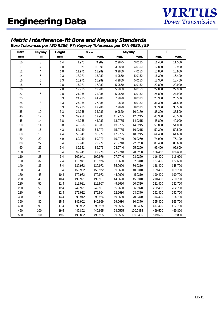### **Metric Interference-fit Bore and Keyway Standards**

**Bore Tolerances per ISO R286, P7; Keyway Tolerances per DIN 6885, JS9**

| <b>Bore</b>     | Keyway                  | <b>Height</b>    |         | <b>Bore</b> |         | Keyway   | T       |         |  |
|-----------------|-------------------------|------------------|---------|-------------|---------|----------|---------|---------|--|
| mm              | mm                      | mm               | Min.    | Max.        | Min.    | Max.     | Min.    | Max.    |  |
| 10              | 3                       | 1.4              | 9.976   | 9.989       | 2.9875  | 3.0125   | 11.400  | 11.500  |  |
| 11              | $\overline{\mathbf{r}}$ | 1.8              | 10.971  | 10.991      | 3.9850  | 4.0150   | 12.800  | 12.900  |  |
| 12              | 4                       | 1.8              | 11.971  | 11.989      | 3.9850  | 4.0150   | 13.800  | 13.900  |  |
| 14              | $\overline{5}$          | 2.3              | 13.971  | 13.989      | 4.9850  | 5.0150   | 16.300  | 16.400  |  |
| 16              | 5                       | 2.3              | 15.971  | 15.989      | 4.9850  | 5.0150   | 18.300  | 18.400  |  |
| 18              | 6                       | 2.8              | 17.971  | 17.989      | 5.9850  | 6.0150   | 20.800  | 20.900  |  |
| $\overline{20}$ | 6                       | 2.8              | 19.965  | 19.986      | 5.9850  | 6.0150   | 22.800  | 22.900  |  |
| 22              | 6                       | 2.8              | 21.965  | 21.986      | 5.9850  | 6.0150   | 24.800  | 24.900  |  |
| 25              | 8                       | 3.3              | 24.965  | 24.986      | 7.9820  | 8.0180   | 28.300  | 28.500  |  |
| 28              | 8                       | $\overline{3.3}$ | 27.965  | 27.986      | 7.9820  | 8.0180   | 31.300  | 31.500  |  |
| 30              | 8                       | 3.3              | 29.965  | 29.986      | 7.9820  | 8.0180   | 33.300  | 33.500  |  |
| 35              | 10                      | 3.3              | 34.958  | 34.983      | 9.9820  | 10.0180  | 38.300  | 38.500  |  |
| 40              | 12                      | 3.3              | 39.958  | 39.983      | 11.9785 | 12.0215  | 43.300  | 43.500  |  |
| 45              | 14                      | 3.8              | 44.958  | 44.983      | 13.9785 | 14.0215  | 48.800  | 49.000  |  |
| 50              | 14                      | 3.8              | 49.958  | 49.983      | 13.9785 | 14.0215  | 53.800  | 54.000  |  |
| $\overline{55}$ | 16                      | 4.3              | 54.949  | 54.979      | 15.9785 | 16.0215  | 59.300  | 59.500  |  |
| 60              | 18                      | 4.4              | 59.949  | 59.979      | 17.9785 | 18.0215  | 64.400  | 64.600  |  |
| 70              | 20                      | 4.9              | 69.949  | 69.979      | 19.9740 | 20.0260  | 74.900  | 75.100  |  |
| 80              | 22                      | 5.4              | 79.949  | 79.979      | 21.9740 | 22.0260  | 85.400  | 85.600  |  |
| 90              | 25                      | 5.4              | 89.941  | 89.976      | 24.9740 | 25.0260  | 95.400  | 95.600  |  |
| 100             | 28                      | 6.4              | 99.941  | 99.976      | 27.9740 | 28.0260  | 106.400 | 106.600 |  |
| 110             | $\overline{28}$         | 6.4              | 109.941 | 109.976     | 27.9740 | 28.0260  | 116.400 | 116.600 |  |
| 120             | 32                      | 7.4              | 119.941 | 119.976     | 31.9690 | 32.0310  | 127.400 | 127.600 |  |
| 140             | 36                      | 8.4              | 139.932 | 139.972     | 35.9690 | 36.0310  | 148.400 | 148.700 |  |
| 160             | 40                      | 9.4              | 159.932 | 159.972     | 39.9690 | 40.0310  | 169.400 | 169.700 |  |
| 180             | 45                      | 10.4             | 179.932 | 179.972     | 44.9690 | 45.0310  | 190.400 | 190.700 |  |
| 200             | 45                      | 10.4             | 199.921 | 199.967     | 44.9690 | 45.0310  | 210.400 | 210.700 |  |
| 220             | 50                      | 11.4             | 219.921 | 219.967     | 49.9690 | 50.0310  | 231.400 | 231.700 |  |
| 250             | 56                      | 12.4             | 249.921 | 249.967     | 55.9630 | 56.0370  | 262.400 | 262.700 |  |
| 280             | 63                      | 12.4             | 279.912 | 279.964     | 62.9630 | 63.0370  | 292.400 | 292.700 |  |
| 300             | 70                      | 14.4             | 299.912 | 299.964     | 69.9630 | 70.0370  | 314.400 | 314.700 |  |
| 350             | 80                      | 15.4             | 349.902 | 349.959     | 79.9630 | 80.0370  | 365.400 | 365.700 |  |
| 400             | 90                      | 17.4             | 399.902 | 399.959     | 89.9565 | 90.0435  | 417.400 | 417.700 |  |
| 450             | 100                     | 19.5             | 449.892 | 449.955     | 99.9565 | 100.0435 | 469.500 | 469.800 |  |
| 500             | 100                     | 19.5             | 499.892 | 499.955     | 99.9585 | 100.0435 | 519.500 | 519.800 |  |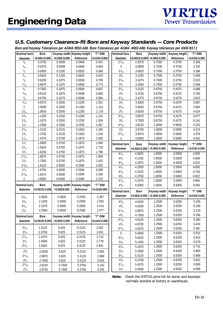### **U.S. Customary Clearance-fit Bore and Keyway Standards — Core Products**

**Bore and Keyway Tolerances per AGMA 9002-A86. Bore Tolerances per AGMA -9002-A86; Keyway tolerances per ANSI B17.1**

| Nominal bore        | <b>Bore</b>      |                 | Keyway width Keyway height | "T"-DIM         | 2010 and Normary Toloranoo por AOMA JOVE AOU DOIG TOloranoo por AOMA JOVE AOU, Normary toloranoo por ANOI DTE<br><b>Nominal bore</b> | <b>Bore</b>   |                                | Keyway width   Keyway height | "T"-DIM         |
|---------------------|------------------|-----------------|----------------------------|-----------------|--------------------------------------------------------------------------------------------------------------------------------------|---------------|--------------------------------|------------------------------|-----------------|
| diameter            | $+0.001/-0.000$  | $+0.002/-0.000$ | Reference                  | $+0.010/-0.000$ | diameter                                                                                                                             |               | $+0.0015/-0.000$ +0.003/-0.000 | Reference                    | $+0.010/-0.000$ |
| $3/8$               | 0.3750           | 0.0938          | 0.0469                     | 0.421           | $2^{15}/_{16}$                                                                                                                       | 2.9375        | 0.7500                         | 0.3750                       | 3.269           |
| $^{7}/_{16}$        | 0.4375           | 0.0938          | 0.0469                     | 0.484           | 3                                                                                                                                    | 3.0000        | 0.7500                         | 0.3750                       | 3.332           |
| $\frac{1}{2}$       | 0.5000           | 0.1250          | 0.0625                     | 0.560           | $3^{1}/_{16}$                                                                                                                        | 3.0625        | 0.7500                         | 0.3750                       | 3.396           |
| $\frac{9}{16}$      | 0.5625           | 0.1250          | 0.0625                     | 0.623           | $3\frac{1}{8}$                                                                                                                       | 3.1250        | 0.7500                         | 0.3750                       | 3.459           |
| $5/8$               | 0.6250           | 0.1875          | 0.0938                     | 0.709           | $3^{3}/_{16}$                                                                                                                        | 3.1875        | 0.7500                         | 0.3750                       | 3.523           |
| 11/16               | 0.6875           | 0.1875          | 0.0938                     | 0.773           | $3^{1/4}$                                                                                                                            | 3.2500        | 0.7500                         | 0.3750                       | 3.586           |
| $^{3}/_{4}$         | 0.7500           | 0.1875          | 0.0938                     | 0.837           | $3^{5}/_{16}$                                                                                                                        | 3.3125        | 0.8750                         | 0.4375                       | 3.696           |
| 13/16               | 0.8125           | 0.1875          | 0.0938                     | 0.900           | $3\frac{3}{8}$                                                                                                                       | 3.3750        | 0.8750                         | 0.4375                       | 3.760           |
| $\frac{7}{8}$       | 0.8750           | 0.1875          | 0.0938                     | 0.964           | $3^{7}/_{16}$                                                                                                                        | 3.4375        | 0.8750                         | 0.4375                       | 3.823           |
| 15/16               | 0.9375           | 0.2500          | 0.1250                     | 1.051           | $3^{1/2}$                                                                                                                            | 3.5000        | 0.8750                         | 0.4375                       | 3.887           |
| 1                   | 1.0000           | 0.2500          | 0.1250                     | 1.114           | $3\frac{9}{16}$                                                                                                                      | 3.5625        | 0.8750                         | 0.4375                       | 3.950           |
| $1^{1/16}$          | 1.0625           | 0.2500          | 0.1250                     | 1.178           | $3\frac{5}{8}$                                                                                                                       | 3.6250        | 0.8750                         | 0.4375                       | 4.014           |
| $1\frac{1}{8}$      | 1.1250           | 0.2500          | 0.1250                     | 1.241           | $3^{11}/_{16}$                                                                                                                       | 3.6875        | 0.8750                         | 0.4375                       | 4.077           |
| $1^{3}/_{16}$       | 1.1875           | 0.2500          | 0.1250                     | 1.304           | $3^{3}/_{4}$                                                                                                                         | 3.7500        | 0.8750                         | 0.4375                       | 4.141           |
| 11/4                | 1.2500           | 0.2500          | 0.1250                     | 1.367           | $3^{13}/_{16}$                                                                                                                       | 3.8125        | 1.0000                         | 0.5000                       | 4.251           |
| 15/16               | 1.3125           | 0.3125          | 0.1563                     | 1.455           | $3^{7}/_{8}$                                                                                                                         | 3.8750        | 1.0000                         | 0.5000                       | 4.314           |
| $1^{3}/_{8}$        | 1.3750           | 0.3125          | 0.1563                     | 1.518           | $3^{15}/_{16}$                                                                                                                       | 3.9375        | 1.0000                         | 0.5000                       | 4.378           |
| 17/16               | 1.4375           | 0.3750          | 0.1875                     | 1.605           | 4                                                                                                                                    | 4.0000        | 1.0000                         | 0.5000                       | 4.441           |
| 11/2                | 1.5000           | 0.3750          | 0.1875                     | 1.669           | <b>Nominal bore</b>                                                                                                                  | <b>Bore</b>   | Keyway width                   | Keyway height                | "T"-DIM         |
| $1\frac{9}{16}$     | 1.5625           | 0.3750          | 0.1875                     | 1.732           | diameter                                                                                                                             | +0.002/-0.000 | $+0.003/-0.000$                | Reference                    | $+0.010/-0.000$ |
| 15/8                | 1.6250           | 0.3750          | 0.1875                     | 1.796           |                                                                                                                                      | 4.0625        | 1.0000                         | 0.5000                       | 4.505           |
| $1^{11}/_{16}$      | 1.6875           | 0.3750          | 0.1875                     | 1.859           | $4^{1}/_{16}$<br>$4^{1}/_{8}$                                                                                                        | 4.1250        | 1.0000                         | 0.5000                       | 4.568           |
| $1^{3}/_{4}$        | 1.7500           | 0.3750          | 0.1875                     | 1.922           | $4^{3}/_{16}$                                                                                                                        | 4.1875        | 1.0000                         | 0.5000                       | 4.632           |
| $1^{13}/_{16}$      | 1.8125           | 0.5000          | 0.2500                     | 2.032           | $4^{1}/_{4}$                                                                                                                         | 4.2500        | 1.0000                         | 0.5000                       | 4.695           |
| 17/8                | 1.8750           | 0.5000          | 0.2500                     | 2.096           | $4^{5}/_{16}$                                                                                                                        | 4.3125        | 1.0000                         | 0.5000                       | 4.759           |
| $1^{15}/_{16}$      | 1.9375           | 0.5000          | 0.2500                     | 2.160           | $4^{3}/_{8}$                                                                                                                         | 4.3750        | 1.0000                         | 0.5000                       | 4.822           |
| $\overline{2}$      | 2.0000           | 0.5000          | 0.2500                     | 2.223           | $4^{7}/_{16}$                                                                                                                        | 4.4375        | 1.0000                         | 0.5000                       | 4.885           |
| <b>Nominal bore</b> | <b>Bore</b>      |                 | Keyway width Keyway height | "T"-DIM         | $4^{1/2}$                                                                                                                            | 4.5000        | 1.0000                         | 0.5000                       | 4.949           |
| diameter            | +0.0015/-0.000   | +0.002/0.000    | Reference                  | +0.010/0.000    |                                                                                                                                      |               |                                |                              |                 |
|                     |                  |                 |                            |                 | <b>Nominal bore</b>                                                                                                                  | <b>Bore</b>   | Keyway width                   | Keyway height                | "T"-DIM         |
| $2^{1/16}$          | 2.0625           | 0.5000          | 0.2500                     | 2.287           | diameter                                                                                                                             | +0.002/-0.000 | $+0.004/-0.000$                | Reference                    | $+0.010/-0.000$ |
| $2^{1/8}$           | 2.1250           | 0.5000          | 0.2500                     | 2.350           | $4\frac{9}{16}$                                                                                                                      | 4.5625        | 1.2500                         | 0.6250                       | 5.105           |
| $2^{3}/_{16}$       | 2.1875           | 0.5000          | 0.2500                     | 2.414           | $4^{5}/_{8}$                                                                                                                         | 4.6250        | 1.2500                         | 0.6250                       | 5.169           |
| $2^{1/4}$           | 2.2500           | 0.5000          | 0.2500                     | 2.477           | $4^{11}/_{16}$                                                                                                                       | 4.6875        | 1.2500                         | 0.6250                       | 5.233           |
| Nominal bore        | <b>Bore</b>      |                 | Keyway width Keyway height | "T"-DIM         | $4^{3}/_{4}$                                                                                                                         | 4.7500        | 1.2500                         | 0.6250                       | 5.296           |
| diameter            | $+0.0015/-0.000$ | $+0.003/-0.000$ | Reference                  | +0.010/-0.000   | $4^{13}/_{16}$                                                                                                                       | 4.8125        | 1.2500                         | 0.6250                       | 5.360           |
|                     |                  |                 |                            |                 | $4^{7}/_{8}$                                                                                                                         | 4.8750        | 1.2500                         | 0.6250                       | 5.424           |
| $2^{5}/_{16}$       | 2.3125           | 0.625           | 0.3125                     | 2.587           | $4^{15}/_{16}$                                                                                                                       | 4.9375        | 1.2500                         | 0.6250                       | 5.487           |
| $2^{3}/_{8}$        | 2.3750           | 0.625           | 0.3125                     | 2.651           | 5                                                                                                                                    | 5.0000        | 1.2500                         | 0.6250                       | 5.551           |
| $2^{7}/_{16}$       | 2.4375           | 0.625           | 0.3125                     | 2.714           | $5^{1/16}$                                                                                                                           | 5.0625        | 1.2500                         | 0.6250                       | 5.614           |
| $2^{1/2}$           | 2.5000           | 0.625           | 0.3125                     | 2.778           | $5^{1/8}$                                                                                                                            | 5.1250        | 1.2500                         | 0.6250                       | 5.678           |
| $2\frac{9}{16}$     | 2.5625           | 0.625           | 0.3125                     | 2.841           | $5^{3}/_{16}$                                                                                                                        | 5.1875        | 1.2500                         | 0.6250                       | 5.741           |
| $2^{5}/_8$          | 2.6250           | 0.625           | 0.3125                     | 2.905           | $5^{1}/_{4}$                                                                                                                         | 5.2500        | 1.2500                         | 0.6250                       | 5.805           |
| $2^{11}/_{16}$      | 2.6875           | 0.625           | 0.3125                     | 2.968           | $5\frac{5}{16}$                                                                                                                      | 5.3125        | 1.2500                         | 0.6250                       | 5.868           |
| $2^{3}/_{4}$        | 2.7500           | 0.625           | 0.3125                     | 3.032           | $5\frac{3}{8}$                                                                                                                       | 5.3750        | 1.2500                         | 0.6250                       | 5.931           |
| $2^{13}/_{16}$      | 2.8125           | 0.7500          | 0.3750                     | 3.142           | $5^{7}/_{16}$                                                                                                                        | 5.4375        | 1.2500                         | 0.6250                       | 5.995           |
| $2^{7}/_{8}$        | 2.8750           | 0.7500          | 0.3750                     | 3.205           | $5^{1/2}$                                                                                                                            | 5.5000        | 1.2500                         | 0.6250                       | 6.058           |

**Note:** Check the VIRTUS price list for bores and keyways normally stocked at factory or warehouse.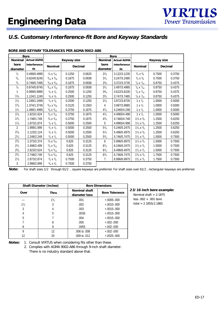## **U.S. Customary Interference-fit Bore and Keyway Standards**

| <b>Bore</b>    |                    |                                 |                    |                |                | <b>Bore</b>        |                                |                    |                |
|----------------|--------------------|---------------------------------|--------------------|----------------|----------------|--------------------|--------------------------------|--------------------|----------------|
| <b>Nominal</b> | <b>Actual AGMA</b> |                                 | <b>Keyway size</b> |                | <b>Nominal</b> | <b>Actual AGMA</b> |                                | <b>Keyway size</b> |                |
| bore           | interference       | <b>Nominal</b>                  |                    | <b>Decimal</b> | bore           | interference       | <b>Nominal</b>                 |                    | <b>Decimal</b> |
| diameter       | fit                |                                 |                    |                | diameter       | fit                |                                |                    |                |
| $\frac{1}{2}$  | 0.499/0.4995       | $\frac{1}{8}$ X $\frac{1}{16}$  | 0.1250             | 0.0625         | $3^{1/8}$      | 3.122/3.1235       | $\frac{3}{4}$ X $\frac{3}{8}$  | 0.7500             | 0.3750         |
| $^{5/8}$       | 0.624/0.6245       | $3/16$ X $3/32$                 | 0.1875             | 0.0938         | $3^{1/4}$      | 3.247/3.2485       | $\frac{3}{4}$ X $\frac{3}{8}$  | 0.7500             | 0.3750         |
| $^{3}/_{4}$    | 0.749/0.7495       | $\frac{3}{16}$ X $\frac{3}{32}$ | 0.1875             | 0.0938         | $3^{3}/_{8}$   | 3.372/3.3735       | $\frac{7}{8}$ X $\frac{7}{16}$ | 0.8750             | 0.4375         |
| $\frac{7}{8}$  | 0.874/0.8745       | $\frac{3}{16}$ X $\frac{3}{32}$ | 0.1875             | 0.0938         | $3^{1/2}$      | 3.497/3.4985       | $\frac{7}{8}$ X $\frac{7}{16}$ | 0.8750             | 0.4375         |
|                | 0.999/0.9995       | $\frac{1}{4}$ X $\frac{1}{8}$   | 0.2500             | 0.1250         | $3^{5}/_{8}$   | 3.622/3.6235       | $\frac{7}{8}$ X $\frac{7}{16}$ | 0.8750             | 0.4375         |
| $1\frac{1}{8}$ | 1.124/1.1245       | $\frac{1}{4}$ X $\frac{1}{8}$   | 0.2500             | 0.1250         | $3^{3}/_{4}$   | 3.747/3.7485       | $\frac{7}{8}$ X $\frac{7}{16}$ | 0.8750             | 0.4375         |
| $1^{1}/_{4}$   | 1.249/1.2495       | $\frac{1}{4}$ X $\frac{1}{8}$   | 0.2500             | 0.1250         | $3^{7}/_{8}$   | 3.872/3.8735       | $1 \times \frac{1}{2}$         | 1.0000             | 0.5000         |
| $1^{3}/_{8}$   | 1.374/1.3745       | $\frac{5}{16}$ X $\frac{5}{32}$ | 0.3125             | 0.1563         | 4              | 3.997/3.9985       | 1 x $\frac{1}{2}$              | 1.0000             | 0.5000         |
| 11/2           | 1.499/1.4995       | $\frac{3}{8}$ X $\frac{3}{16}$  | 0.3750             | 0.1875         | $4^{1/4}$      | 4.2465/4.248       | 1 $x \frac{1}{2}$              | 1.0000             | 0.5000         |
| 15/8           | 1.623/1.624        | $\frac{3}{8}$ X $\frac{3}{16}$  | 0.3750             | 0.1875         | $4^{1/2}$      | 4.4965/4.498       | 1 x $\frac{1}{2}$              | 1.0000             | 0.5000         |
| $1^{3}/_{4}$   | 1.748/1.749        | $\frac{3}{8}$ X $\frac{3}{16}$  | 0.3750             | 0.1875         | $4^{3}/_{4}$   | 4.7465/4.748       | $1\frac{1}{4}x\frac{5}{8}$     | 1.2500             | 0.6250         |
| 17/8           | 1.873/1.874        | $\frac{1}{2}$ X $\frac{1}{4}$   | 0.5000             | 0.2500         | 5              | 4.9965/4.998       | $1\frac{1}{4}x\frac{5}{8}$     | 1.2500             | 0.6250         |
| $\overline{2}$ | 1.998/1.999        | $\frac{1}{2}$ X $\frac{1}{4}$   | 0.5000             | 0.2500         | $5\frac{1}{4}$ | 5.246/5.2475       | $1\frac{1}{4}x\frac{5}{8}$     | 1.2500             | 0.6250         |
| $2^{1/8}$      | 2.123/2.124        | $1/2 \times 1/4$                | 0.5000             | 0.2500         | $5^{1/2}$      | 5.496/5.4975       | $1\frac{1}{4}x\frac{5}{8}$     | 1.2500             | 0.6250         |
| $2^{1/4}$      | 2.248/2.249        | $1/2 \times 1/4$                | 0.5000             | 0.2500         | $5^{3}/_{4}$   | 5.746/5.7475       | $1\frac{1}{2}x\frac{3}{4}$     | 1.5000             | 0.7500         |
| $2^{3}/_{8}$   | 2.373/2.374        | $\frac{5}{8}$ X $\frac{5}{16}$  | 0.625              | 0.3125         | 6              | 5.996/5.9975       | $1\frac{1}{2}x\frac{3}{4}$     | 1.5000             | 0.7500         |
| $2^{1/2}$      | 2.498/2.499        | $\frac{5}{8}$ X $\frac{5}{16}$  | 0.625              | 0.3125         | $6^{1/4}$      | 6.246/6.2475       | $1\frac{1}{2}x\frac{3}{4}$     | 1.5000             | 0.7500         |
| $2^{5/8}$      | 2.623/2.624        | $\frac{5}{8}$ X $\frac{5}{16}$  | 0.625              | 0.3125         | $6^{1/2}$      | 6.496/6.4975       | $1\frac{1}{2}x\frac{3}{4}$     | 1.5000             | 0.7500         |
| $2^{3}/_{4}$   | 2.748/2.749        | $\frac{5}{8}$ X $\frac{5}{16}$  | 0.625              | 0.3125         | $6^{3}/_{4}$   | 6.746/6.7475       | $1^{3}/_{4}$ X $^{3}/_{4}$     | 1.7500             | 0.7500         |
| $2^{7}/_{8}$   | 2.873/2.874        | $\frac{3}{4}$ X $\frac{3}{8}$   | 0.7500             | 0.3750         | 7              | 6.996/6.9975       | $1^{3}/_{4}$ X $^{3}/_{4}$     | 1.7500             | 0.7500         |
| 3              | 2.998/2.999        | $\frac{3}{4}$ X $\frac{3}{8}$   | 0.7500             | 0.3750         |                |                    |                                |                    |                |

#### **BORE AND KEYWAY TOLERANCES PER AGMA 9002-A86**

**Note:** For shaft sizes 1/2 through 61/2 , square keyways are preferred. For shaft sizes over 61/2 , rectangular keyways are preferred.

|             | <b>Shaft Diameter (inches)</b> | <b>Bore Dimensions</b>                 |                       |  |  |  |
|-------------|--------------------------------|----------------------------------------|-----------------------|--|--|--|
| <b>Over</b> | Thru                           | <b>Nominal shaft</b><br>diameter less: | <b>Bore Tolerance</b> |  |  |  |
|             | $1\frac{1}{2}$                 | .001                                   | $+.0005-.000$         |  |  |  |
| 11/2        | 3                              | .002                                   | $+.0010-.000$         |  |  |  |
| 3           |                                | .003                                   | $+.0015-.000$         |  |  |  |
| 4           | 5                              | .0035                                  | $+.0015-.000$         |  |  |  |
| 5           |                                | .004                                   | $+.0015-.000$         |  |  |  |
|             | 8                              | .005                                   | $+.002-.000$          |  |  |  |
| 8           | 9                              | .0055                                  | $+.002-.000$          |  |  |  |
| 9           | 12                             | .006 to .008                           | $+.002-.000$          |  |  |  |
| 12          | 20                             | .009 to .012                           | $+.0025-.000$         |  |  |  |

**23/16 inch bore example:** nal shaft  $= 2.1875$ 

 $002 + .001$  bore  $= 2.1855/2.1865$ 

**Notes:** 1. Consult VIRTUS when considering fits other than these.

2. Complies with AGMA 9002-A86 through 9-inch shaft diameter. There is no industry standard above that.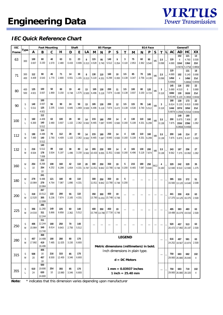## **IEC Quick Reference Chart**

| <b>IEC</b> |        |              |               | <b>Foot Mounting</b> |              | Shaft       |              |             | <b>B5 Flange</b> |              |                            |             | <b>B14 Face</b>          |                                             |              |              | GeneralT                 |                          |         |               |               |                             |               |
|------------|--------|--------------|---------------|----------------------|--------------|-------------|--------------|-------------|------------------|--------------|----------------------------|-------------|--------------------------|---------------------------------------------|--------------|--------------|--------------------------|--------------------------|---------|---------------|---------------|-----------------------------|---------------|
| Frame      | Type   | A            | B             | C                    | н            | D           | Е            | LA          | M                | N            | P                          | S           | T                        | M                                           | N            | P            | S                        | T                        | L       | AC            | AD            | HC                          | XX            |
|            |        |              |               |                      |              |             |              |             |                  |              |                            |             |                          |                                             |              |              |                          |                          |         |               | 102           | 121                         | 13            |
| 63         | 300    | 100          | 80            | 40                   | 63           | 11          | 23           | 8           | 115              | 95           | 140                        | 9           | 3                        | 75                                          | 60           | 90           | M <sub>5</sub>           | 2.5                      |         | 119           | 4             | 4.760                       | 0.500         |
|            |        | 3.937        | 3.150         | 1.570                | 2.480        | 0.433       | 0.906        | 0.313       | 4.528            | 3.740        | 5.512                      | 0.354       | 0.118                    | 2.953                                       | 2.362        | 3.540        |                          | 0.098                    |         | 4.690         | 116d          | <b>136d</b>                 | 22d           |
|            |        |              |               |                      |              |             |              |             |                  |              |                            |             |                          |                                             |              |              |                          |                          |         |               | 4.567d        | 5.375d                      | 0.880d        |
|            | 300    | 112          | 90            | 45                   | 71           | 14          | 30           | 8           | 130              | 110          | 160                        | 10          | 3.5                      | 85                                          | 70           | 105          |                          | 2.5                      |         | 119<br>4.690  | 102           | 131<br>5.140                | 18<br>0.690   |
| 71         | 400    | 4.409        | 3.543         | 1.770                | 2.800        | 0.551       | 1.181        | 0.313       | 5.118            | 4.331        | 6.299                      | 0.393       | 0.138                    | 3.347                                       | 2.756        | 4.130        | M <sub>6</sub>           | 0.098                    |         | 145d          | 4             | 149d                        | 21d           |
|            |        |              |               |                      |              |             |              |             |                  |              |                            |             |                          |                                             |              |              |                          |                          |         | 5.690d        |               | 5.880d                      | 0.844d        |
|            |        |              |               |                      |              |             |              |             |                  |              |                            |             |                          |                                             |              |              |                          |                          |         | 145           | 116           | 152                         | 22            |
| 80         | 400    | 125          | 100           | 50                   | 80           | 19          | 40           | 13          | 165              | 130          | 200                        | 11          | 3.5                      | 100                                         | 80           | 120          | M <sub>6</sub>           | 3                        |         | 5.690         | 4.510         | 6                           | 0.880         |
|            | 500    | 4.921        | 3.937         | 1.969                | 3.150        | 0.748       | 1.575        | 0.500       | 6.496            | 5.118        | 7.874                      | 0.430       | 0.138                    | 3.937                                       | 3.150        | 4.724        |                          | 0.118                    |         | 168d          | 130           | 162d                        | 21d           |
|            |        |              |               |                      |              |             |              |             |                  |              |                            |             |                          |                                             |              |              |                          |                          |         | 6.614d        | 5.120         | 6.380d                      | 0.844d        |
|            |        | 140          | 100<br>3.937  | 56                   | 90           | 24          | 50           |             | 165              |              | 200                        |             | 3.5                      | 115                                         | 95           |              |                          |                          |         | 168           | 130           | 173                         | 22            |
| 90         | S<br>L | 5.511        | 125           | 2.205                | 3.543        | 0.945       | 1.969        | 13<br>0.500 | 6.496            | 130<br>5.118 | 7.874                      | 12<br>0.472 | 0.138                    | 4.530                                       | 3.740        | 140<br>5.512 | M <sub>8</sub>           | 3<br>0.118               |         | 6.614<br>144d | 5.120<br>107d | 6.810<br>165d               | 0.880<br>21 d |
|            |        |              | 4.921         |                      |              |             |              |             |                  |              |                            |             |                          |                                             |              |              |                          |                          |         | 5.687d        | 4.250d        | 6.531d                      | 0.844d        |
|            |        |              | 112           |                      |              |             |              |             |                  |              |                            |             |                          |                                             |              |              |                          |                          |         |               | 149           | 180                         |               |
| 100        | S      | 160          | 4.409         | 63                   | 100          | 28          | 60           | 14          | 215              | 180          | 250                        | 14          | 4                        | 130                                         | 110          | 160          | M <sub>8</sub>           | 3.5                      |         | 200           | 5.875         | 7.906                       | 27            |
|            | L      | 6.300        | 140           | 2.480                | 3.937        | 1.102       | 2.362        | 0.562       | 8.465            | 7.087        | 9.840                      | 0.560       | 0.160                    | 5.108                                       | 4.331        | 6.299        |                          | 0.138                    |         | 7.875         | 153d          | 239d                        | 1.062         |
|            |        |              | 5.512         |                      |              |             |              |             |                  |              |                            |             |                          |                                             |              |              |                          |                          |         |               | 6.060d        | 9.440d                      |               |
|            |        |              | 114<br>4.488  | 70                   |              |             |              |             |                  |              |                            |             |                          |                                             |              |              |                          |                          |         |               |               |                             |               |
| 112        | S<br>M | 190<br>7.480 | 140           | 2.760                | 112<br>4.409 | 28<br>1.102 | 60<br>2.362  | 14          | 215<br>8.465     | 180          | 250<br>9.840               | 14<br>0.560 | 4<br>0.160               | 130<br>5.108                                | 110<br>4.331 | 160<br>6.299 | M <sub>8</sub>           | 3.5                      |         | 200<br>7.875  | 149           | 214                         | 27<br>1.062   |
|            |        |              | 5.512         |                      |              |             |              | 0.562       |                  | 7.087        |                            |             |                          |                                             |              |              |                          | 0.138                    |         |               | 5.875         | 8.437                       |               |
|            |        |              | 140           |                      |              |             |              |             |                  |              |                            |             |                          |                                             |              |              |                          |                          |         |               |               |                             |               |
| 132        | S      | 216          | 5.512         | 89                   | 132          | 38          | 80           | 14          | 265              | 230          | 300                        | 14          | 4                        | 165                                         | 130          | 200          | M <sub>8</sub>           | 3.5                      |         | 243           | 187           | 256                         | 27            |
|            | M      | 8.504        | 178           | 3.504                | 5.197        | 1.496       | 3.150        | 0.562       | 10.433           | 9.055        | 11.811                     | 0.560       | 0.160                    | 6.496                                       | 5.118        | 7.874        |                          | 0.138                    |         | 9.562         | 7.375         | 10.062                      | 1.062         |
|            |        |              | 7.008         |                      |              |             |              |             |                  |              |                            |             |                          |                                             |              |              |                          |                          |         |               |               |                             |               |
|            |        |              | 210           | 108                  |              |             |              |             |                  |              |                            |             |                          |                                             |              |              |                          |                          |         |               |               |                             |               |
| 160        | M<br>L | 254<br>10    | 8.268<br>254  | 4.252                | 160<br>6.299 | 42<br>1.654 | 110<br>4.331 | 20<br>0.787 | 300<br>11.811    | 250<br>9.842 | 350<br>13.780              | 19<br>0.748 | 5<br>0.200               | 215<br>8.465                                | 180<br>7.087 | 250<br>9.840 | M12                      | 4<br>0.160               |         | 329<br>12.940 | 242<br>9.510  | 329<br>12.940               | 35<br>1.375   |
|            |        |              | 10            |                      |              |             |              |             |                  |              |                            |             |                          |                                             |              |              |                          |                          |         |               |               |                             |               |
|            |        |              | 241           |                      |              |             |              |             |                  |              |                            |             |                          |                                             |              |              |                          |                          |         |               |               |                             |               |
| 180        | M      | 279          | 9.488         | 121                  | 180          | 48          | 110          |             | 300              | 250          | 350                        | 19          | 5                        |                                             |              |              |                          |                          |         | 395           | 333           | 372                         | 51            |
|            | L      | 10.984       | 279           | 4.764                | 7.087        | 1.890       | 4.331        |             | 11.811           | 9.842        | 13.780                     | 0.748       | 0.200                    |                                             |              |              |                          |                          |         | 15.560        | 13.120        | 14.640                      | 2.008         |
|            |        |              | 10.984        |                      |              |             |              |             |                  |              |                            |             |                          |                                             |              |              |                          |                          |         |               |               |                             |               |
|            | L      | 318          | 267<br>10.512 | 133                  | 200          | 55          | 110          |             | 350              | 300          | 400                        | 19          |                          |                                             |              |              |                          |                          |         | 441           | 359           | 416                         |               |
| 200        | M      | 12.520       | 305           | 5.236                | 7.874        | 2.165       | 4.331        |             | 13.780           | 11.811       | 15.748                     | 0.748       |                          |                                             |              |              |                          |                          |         | 17.375        | 14.125        | 16.375                      | 63<br>2.500   |
|            |        |              | 12.008        |                      |              |             |              |             |                  |              |                            |             |                          |                                             |              |              |                          |                          |         |               |               |                             |               |
|            |        |              | 286           |                      |              |             |              |             |                  |              |                            |             |                          |                                             |              |              |                          |                          |         |               |               |                             |               |
| 225        | S      | 356          | 11.260        | 149                  | 225          | 60          | 140          |             | 400              | 350          | 450                        | 19          | $\overline{\phantom{0}}$ |                                             |              |              | $\overline{\phantom{0}}$ | $\overline{\phantom{m}}$ | $\star$ | 495           | 383           | 483                         | 63            |
|            | M      | 14.016       | 311           | 5.866                | 8.858        | 2.362       | 5.512        |             |                  |              | 15.748 13.780 17.716 0.748 |             |                          |                                             |              |              |                          |                          |         |               |               | 19.488 15.079 19.016 2.500  |               |
|            |        |              | 12.244<br>311 |                      |              |             |              |             |                  |              |                            |             |                          |                                             |              |              |                          |                          |         |               |               |                             |               |
|            | S      | 406          | 12.244        | 168                  | 250          | 70          | 140          |             |                  |              |                            |             |                          |                                             |              |              |                          |                          |         | 520           | 457           | 513                         | 63            |
| 250        | M      | 15.984       | 349           | 6.614                | 9.843        | 2.756       | 5.512        |             | -                |              |                            |             |                          |                                             |              |              |                          | $\qquad \qquad -$        |         |               |               | 20.472   17.992   20.197    | 2.500         |
|            |        |              | 13.740        |                      |              |             |              |             |                  |              |                            |             |                          |                                             |              |              |                          |                          |         |               |               |                             |               |
|            |        |              | 368           |                      |              |             |              |             |                  |              |                            |             |                          |                                             |              |              |                          |                          |         |               |               |                             |               |
| 280        | S      | 457          | 14.488        | 190                  | 280          | 80          | 170          |             |                  |              |                            |             | <b>LEGEND</b>            |                                             |              |              |                          | $\overline{\phantom{0}}$ |         | 616           | 497           | 581                         | 63            |
|            | M      | 17.992       | 419           | 7.485                | 11.025       | 3.150       | 6.693        |             |                  |              |                            |             |                          |                                             |              |              |                          |                          |         |               |               | 24.252 19.567 22.874        | 2.500         |
|            |        |              | 16.496        |                      |              |             |              |             |                  |              |                            |             |                          | Metric dimensions (millimeters) in bold.    |              |              |                          |                          |         |               |               |                             |               |
|            |        | 508          | 406<br>16     | 216                  | 315          | 85          | 170          |             |                  |              |                            |             |                          | Inch dimensions in plain type.              |              |              |                          |                          |         |               |               |                             |               |
| 315        | S<br>М | 20           | 457           | 8.500                | 12.400       | 3.346       | 6.693        |             |                  |              |                            |             |                          |                                             |              |              |                          | $\overline{\phantom{0}}$ |         | 759           | 683           | 682<br>29.900 26.880 26.840 | 102<br>4      |
|            |        |              | 18            |                      |              |             |              |             |                  |              |                            |             |                          | $\mathbf{d} = \mathbf{D} \mathbf{C}$ Motors |              |              |                          |                          |         |               |               |                             |               |
|            |        |              | 500           |                      |              |             |              |             |                  |              |                            |             |                          |                                             |              |              |                          |                          |         |               |               |                             |               |
|            | S      | 610          | 19.690        | 254                  | 355          | 85          | 170          |             |                  |              |                            |             |                          | $1 \text{ mm} = 0.03937 \text{ inches}$     |              |              |                          | $\overline{\phantom{0}}$ |         | 759           | 683           | 719                         | 102           |
| 355        | L      | 24           | 630           | 10                   | 13.980       | 3.346       | 6.693        |             |                  |              |                            |             |                          | $1$ inch = 25.40 mm                         |              |              |                          |                          |         |               |               | 29.900 26.880 28.320        | 4             |
|            |        |              | 24.800        |                      |              |             |              |             |                  |              |                            |             |                          |                                             |              |              |                          |                          |         |               |               |                             |               |

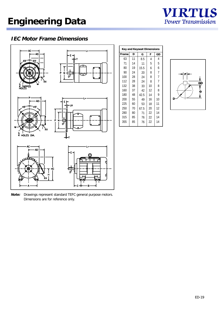

## **IEC Motor Frame Dimensions**



**Note:** Drawings represent standard TEFC general purpose motors. Dimensions are for reference only.

| <b>Key and Keyseat Dimensions</b> |    |      |    |    |  |  |  |  |  |  |  |
|-----------------------------------|----|------|----|----|--|--|--|--|--|--|--|
| <b>Frame</b>                      | D  | G    | F  | GD |  |  |  |  |  |  |  |
| 63                                | 11 | 8.5  | 4  | 4  |  |  |  |  |  |  |  |
| 71                                | 14 | 11   | 5  | 5  |  |  |  |  |  |  |  |
| 80                                | 19 | 15.5 | 6  | 6  |  |  |  |  |  |  |  |
| 90                                | 24 | 20   | 8  | 7  |  |  |  |  |  |  |  |
| 100                               | 28 | 24   | 8  | 7  |  |  |  |  |  |  |  |
| 112                               | 28 | 24   | 8  | 7  |  |  |  |  |  |  |  |
| 132                               | 38 | 33   | 10 | 8  |  |  |  |  |  |  |  |
| 160                               | 37 | 42   | 12 | 8  |  |  |  |  |  |  |  |
| 180                               | 48 | 42.5 | 14 | 9  |  |  |  |  |  |  |  |
| 200                               | 55 | 49   | 16 | 10 |  |  |  |  |  |  |  |
| 225                               | 60 | 53   | 18 | 11 |  |  |  |  |  |  |  |
| 250                               | 70 | 67.5 | 20 | 12 |  |  |  |  |  |  |  |
| 280                               | 80 | 71   | 22 | 14 |  |  |  |  |  |  |  |
| 315                               | 85 | 76   | 22 | 14 |  |  |  |  |  |  |  |
| 355                               | 85 | 76   | 22 | 14 |  |  |  |  |  |  |  |

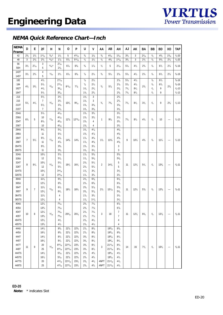

## **NEMA Quick Reference Chart—Inch**

| 9/32<br>$4^{11}/_{16}$<br>$3/_{8}$<br>$\frac{3}{8}$<br>$1^{5}/_{16}$<br>$\frac{1}{8}$<br>$4^{5}/_{8}$<br>$\frac{1}{4} - 20$<br>$2^{5}/_{8}$<br>$1^{3}/_{4}$<br>$1^{11}/_{16}$<br>$1\frac{1}{2}$<br>5<br>$1\frac{1}{8}$<br>$4^{1}/_{32}$<br>$3^{3}/_{4}$<br>3<br>$2^{1}/_{16}$<br>$1\frac{9}{16}$<br>42<br>48<br>3<br>$2^{1/8}$<br>$2^{3}/_{4}$<br>$11/32$ *<br>17/8<br>$5\frac{7}{8}$<br>1/2<br>11/2<br>$\frac{1}{2}$<br>$4^{3}/_{8}$<br>$1^{11}/_{16}$<br>$3^{3}/_{4}$<br>3<br>$\frac{1}{8}$<br>$5\frac{5}{8}$<br>$1/4 - 20$<br>$5^{11}/_{16}$<br>$2^{1/2}$<br>$2^{1/4}$<br>56<br>3<br>$2^{7}/_{16}$<br>11/32<br>$6^{5}/_{8}$<br>$5/8$<br>$4^{1/2}$<br>$\frac{1}{8}$<br>$6^{1/2}$<br>$\frac{3}{8} - 16$<br>$3^{1/2}$<br>$2^{7}/_{16}$<br>$6^{7}/_{8}$<br>$17_{8}$<br>$\frac{1}{2}$<br>5<br>$2^{1/16}$<br>$5\frac{7}{8}$<br>$2^{3}/_{4}$<br>$2^{1/4}$<br>56H<br>5<br>$2^{1/8}$<br>4<br>143T<br>11/32<br>$6^{5}/_{8}$<br>$^{7}/_{8}$<br>$^{3}/_{4}$<br>$4^{1/2}$<br>$3^{1/2}$<br>$2^{3}/_{4}$<br>$2^{1/2}$<br>$6^{7}/_{8}$<br>$2^{1/4}$<br>$5^{1}/_{4}$<br>$2^{1/8}$<br>$5\frac{7}{8}$<br>$2^{1/4}$<br>$\frac{1}{8}$<br>$6^{1/2}$<br>$2^{1/4}$<br>$\frac{3}{8} - 16$<br>5<br>145T<br>$2^{11}/_{16}$<br>$\frac{7}{8}$<br>$\frac{3}{8} - 16$<br>$4^{1/2}$<br>$2^{1/4}$<br>$2^{1/8}$<br>$5\frac{7}{8}$<br>$\frac{1}{8}$<br>$6^{1/2}$<br>182<br>$4^{1/2}$<br>$2^{11}/_{16}$<br>$\frac{7}{8}$<br>$2^{1/4}$<br>$2^{1/8}$<br>$5\frac{7}{8}$<br>$4^{1/2}$<br>$\frac{1}{8}$<br>$6^{1/2}$<br>184<br>$5^{1/2}$<br>$\frac{3}{8} - 16$<br>$4^{1/2}$<br>13/32<br>$8^{11}/_{16}$<br>77/8<br>$^{3}/_{4}$<br>$2^{3}/_{8}$<br>$3^{3}/_{4}$<br>$5\frac{7}{8}$<br>$2^{3}/_{4}$<br>$2^{3}/_{4}$<br>$4^{1/2}$<br>$1\frac{1}{8}$<br>$2^{5}/_8$<br>$7^{1/4}$<br>$8^{1/2}$<br>$\frac{1}{4}$<br>9<br>182T<br>$3\frac{9}{16}$<br>$\frac{1}{2}$ -13<br>$2^{3}/_{4}$<br>$2^{5}/_{8}$<br>$8^{1/2}$<br>$^{1}/_{4}$<br>9<br>$\frac{1}{2} - 13$<br>184T<br>$5^{1/2}$<br>$3\frac{9}{16}$<br>$1\frac{1}{8}$<br>$7^{1/4}$<br>$1\frac{1}{8}$<br>3<br>$2^{3}/_{4}$<br>213<br>$5^{1/2}$<br>$3^{1/2}$<br>$\overline{7}$<br>3<br>$2^{3}/_{4}$<br>215<br>$3^{1/2}$<br>$1\frac{1}{8}$<br>$5^{1}/_{4}$<br>$4^{1/4}$<br>13/32<br>$10^{1/4}$<br>$9\%_{16}$<br>$^{3}/_{4}$<br>$7^{3}/_{8}$<br>$7^{1}/_{4}$<br>$8^{1/2}$<br>$3^{1/2}$<br>$^{1/4}$<br>9<br>$2^{3}/_{4}$<br>$\frac{1}{2}$ -13<br>$3^{7}/_{8}$<br>$1^{3}/_{8}$<br>$3^{3}/_{8}$<br>$3^{1/8}$<br>213T<br>$5^{1/2}$<br>$\overline{7}$<br>$3^{7}/_{8}$<br>$1^{3}/_{8}$<br>$3\frac{3}{8}$<br>$3^{1/8}$<br>215T<br>$3^{3}/_{4}$<br>$5^{1}/_{4}$<br>$4^{1}/_{16}$<br>$1^{3}/_{8}$<br>$3^{1/2}$<br>254U<br>256U<br>10<br>$4^{1/16}$<br>$1^{3}/_{8}$<br>$3^{3}/_{4}$<br>$3^{1/2}$<br>5<br>$12^{15}/_{16}$<br>$6^{1/4}$<br>17/32<br>$12^{7}/_8$<br>$95\frac{1}{8}$<br>$7^{1/4}$<br>$8^{1/2}$<br>$4^{1/4}$<br>1/4<br>$\frac{1}{2} - 13$<br>1<br>10<br>$\overline{\phantom{0}}$<br>254T<br>15/8<br>4<br>$3^{3}/_{4}$<br>$8^{1/4}$<br>45/16<br>256T<br>$4^{5}/_{16}$<br>$3^{3}/_{4}$<br>10<br>$1^{5}/_{8}$<br>4<br>$9^{1/2}$<br>$1^{5}/_8$<br>$4^{7}/_{8}$<br>$4^{5}/_{8}$<br>284U<br>$5^{1}/_{8}$<br>15/8<br>47/8<br>286U<br>11<br>$5^{1}/_{8}$<br>$4^{5}/_{8}$<br>$4^{7}/_{8}$<br>$1^{7}/_{8}$<br>$4^{5}/_8$<br>$4^{3}/_{8}$<br>284T<br>$9^{1/2}$<br>$14^{5}/_8$<br>$\overline{7}$<br>$5^{1/2}$<br>17/32<br>$14^{5}/_8$<br>$13^{1/8}$<br>9<br>$10^{1/2}$<br>$4^{3}/_{4}$<br>$^{1/4}$<br>$\frac{1}{2} - 13$<br>11/2<br>$11^{1}/_{4}$<br>-<br>$4^{7}/_{8}$<br>$4^{5}/_8$<br>$4^{3}/_{8}$<br>286T<br>11<br>$1^{7}/_{8}$<br>284TS<br>$9^{1/2}$<br>15/8<br>3<br>$3^{3}/_{8}$<br>$3^{1/4}$<br>3<br>286TS<br>11<br>$3^{3}/_{8}$<br>$1^{5}/_{8}$<br>$3^{1/4}$<br>$10^{1/2}$<br>$5\frac{7}{8}$<br>$1^{7}/_{8}$<br>$5\frac{5}{8}$<br>$5\frac{3}{8}$<br>324U<br>326U<br>12<br>$5\frac{5}{8}$<br>$5\frac{7}{8}$<br>17/8<br>$5\frac{3}{8}$<br>5<br>$5\frac{1}{4}$<br>324T<br>$10^{1/2}$<br>$5^{1/2}$<br>$2^{1/8}$<br>8<br>$6^{1/4}$<br>21/32<br>$16^{1/2}$<br>$\overline{2}$<br>$12^{1/2}$<br>1/4<br>$13^{3}/_{8}$<br>$5/8 - 11$<br>$16^{1/2}$<br>$14\frac{1}{8}$<br>11<br>$5^{1/4}$<br>5<br>$5^{1/2}$<br>326T<br>12<br>$2^{1/8}$<br>$5\frac{1}{4}$<br>$3^{15}/_{16}$<br>324TS<br>$10^{1/2}$<br>17/8<br>$3^{3}/_{4}$<br>$3^{1/2}$<br>$3^{1/2}$<br>326TS<br>12<br>$3^{15}/_{16}$<br>$1^{7}/_{8}$<br>$3^{3}/_{4}$<br>$11^{1/4}$<br>$2^{1/8}$<br>$6\frac{3}{8}$<br>364U<br>$6^{3}/_{4}$<br>$6^{1/8}$<br>$12^{1/4}$<br>$6^{3}/_{4}$<br>$2^{1/8}$<br>$6^{3}/_{8}$<br>$6^{1}/_{8}$<br>365U<br>$2^{3}/_{8}$<br>$5\frac{7}{8}$<br>$5\frac{5}{8}$<br>364T<br>$11^{1}/_4$<br>$6^{1/4}$<br>9<br>7<br>21/32<br>$18^{1/2}$<br>$18^{1/4}$<br>$2^{1/2}$<br>$12^{1/2}$<br>1/4<br>$13^{3}/_{8}$<br>$5/8 - 11$<br>$15^{1/16}$<br>11<br>$5\frac{7}{8}$<br>$5\frac{7}{8}$<br>365T<br>$12^{1/4}$<br>$6^{1/4}$<br>$2^{3}/_{8}$<br>$5\frac{5}{8}$<br>364TS<br>$11^{1}/_4$<br>$1^{7}/_{8}$<br>$3^{3}/_{4}$<br>$3^{1/2}$<br>4<br>365TS<br>$12^{1/4}$<br>$1^{7}/_{8}$<br>$3\frac{3}{4}$<br>$3^{1/2}$<br>4<br>$7^{1/8}$<br>404U<br>$12^{1/4}$<br>$7^{3}/_{16}$<br>$2^{3}/_{8}$<br>$6^{7}/_{8}$<br>405U<br>$13^{3}/_{4}$<br>$7^{3}/_{16}$<br>$2^{3}/_{8}$<br>$7^{1}/_{8}$<br>$6^{7}/_{8}$<br>404T<br>$12^{1/4}$<br>$7^{5}/_{16}$<br>$2^7\!/_{\scriptscriptstyle 8}$<br>$7\%$<br>13/16<br>3<br>$12^{1/2}$<br>1/4<br>$13^{7}/_{8}$<br>8<br>$20^{5}/_{16}$<br>$20^{1/8}$<br>11<br>$6^{5}/_{8}$<br>$5/8 - 11$<br>10<br>18<br>$\overline{7}$<br>405T<br>$13^{3}/_{4}$<br>75/16<br>$2^{7}/_{8}$<br>$7^{1/4}$<br>404TS<br>$12^{1/4}$<br>$2^{1/8}$<br>$4^{1/2}$<br>$4^{1}/_{4}$<br>4<br>405TS<br>$13^{3}/_{4}$<br>$4^{1/2}$<br>$2^{1/8}$<br>$4^{1/4}$<br>4<br>$14^{1/2}$<br>444U<br>$8^{5}/_{8}$<br>$22^{7}/_{8}$<br>$22^{3}/_{8}$<br>$2^{7}/_{8}$<br>$8^{5}/_{8}$<br>$19\%_{16}$<br>$8^{3}/_{8}$<br>445U<br>$16^{1/2}$<br>$8^{5}/_{8}$<br>$22^{7}/_{8}$<br>$22^{3}/_{8}$<br>$2^{7}/_{8}$<br>$19^{9}/_{16}$<br>$8^{3}/_{8}$<br>$8^{5}/_{8}$<br>444T<br>$22^{7}/_8$<br>$22^{3}/_{8}$<br>$19\%_{16}$<br>$8\%$<br>$14^{1/2}$<br>$8^{1/2}$<br>$3^{3}/_{8}$<br>$8^{1/2}$<br>445T<br>$16^{1/2}$<br>$8^{1/2}$<br>$22^{7}/_{8}$<br>$22^{3}/_{8}$<br>$3^{3}/_{8}$<br>$8^{1/2}$<br>$19\%_{16}$<br>$8^{1/4}$<br>$8^{15}/_{16}$<br>447T<br>$22^{15}/_{16}$<br>$23^{3}/_{4}$<br>$21^{11}/_{16}$<br>$8^{1}/_{4}$<br>20<br>$3^{3}/_{8}$<br>$8^{1/2}$<br>9<br>13/16<br>$^{1}/_{4}$<br>$\frac{5}{8}$ -11<br>11<br>3<br>14<br>16<br>$7^{1/2}$<br>$16^{3}/_{4}$<br>-<br>449T<br>$8^{15}/_{16}$<br>$22^{15}/_{16}$<br>25<br>$23^{3}/_{4}$<br>$3^{3}/_{8}$<br>$21^{11}/_{16}$<br>$8^{1}/_{4}$<br>$8^{1/2}$<br>444TS<br>$14^{1/2}$<br>$5^{3}/_{16}$<br>$22^{7}/_{8}$<br>$22^{3}/_{8}$<br>$2^{3}/_{8}$<br>$4^{3}/_{4}$<br>$19\%_{16}$<br>$4^{1/2}$<br>445TS<br>$22^{7}/_{8}$<br>$22^{3}/_{8}$<br>$19\%_{16}$<br>$4^{1/2}$<br>$16^{1/2}$<br>$5^{3}/_{16}$<br>$2^{3}/_{8}$<br>$4^{3}/_{4}$<br>447TS<br>$4^{15}/_{16}$<br>$22^{15}/_{16}$<br>$23^{3}/_{4}$<br>$21^{11}/_{16}$<br>$4^{1/2}$<br>20<br>$2^{3}/_{8}$<br>$4^{3}/_{4}$<br>4NPT | <b>NEMA</b> | D | E | 2F | н | N              | 0               | P             | U            | ٧            | AA   | AB              | AH        | AJ | AΚ | BA | BB | BD | XO | <b>TAP</b> |
|----------------------------------------------------------------------------------------------------------------------------------------------------------------------------------------------------------------------------------------------------------------------------------------------------------------------------------------------------------------------------------------------------------------------------------------------------------------------------------------------------------------------------------------------------------------------------------------------------------------------------------------------------------------------------------------------------------------------------------------------------------------------------------------------------------------------------------------------------------------------------------------------------------------------------------------------------------------------------------------------------------------------------------------------------------------------------------------------------------------------------------------------------------------------------------------------------------------------------------------------------------------------------------------------------------------------------------------------------------------------------------------------------------------------------------------------------------------------------------------------------------------------------------------------------------------------------------------------------------------------------------------------------------------------------------------------------------------------------------------------------------------------------------------------------------------------------------------------------------------------------------------------------------------------------------------------------------------------------------------------------------------------------------------------------------------------------------------------------------------------------------------------------------------------------------------------------------------------------------------------------------------------------------------------------------------------------------------------------------------------------------------------------------------------------------------------------------------------------------------------------------------------------------------------------------------------------------------------------------------------------------------------------------------------------------------------------------------------------------------------------------------------------------------------------------------------------------------------------------------------------------------------------------------------------------------------------------------------------------------------------------------------------------------------------------------------------------------------------------------------------------------------------------------------------------------------------------------------------------------------------------------------------------------------------------------------------------------------------------------------------------------------------------------------------------------------------------------------------------------------------------------------------------------------------------------------------------------------------------------------------------------------------------------------------------------------------------------------------------------------------------------------------------------------------------------------------------------------------------------------------------------------------------------------------------------------------------------------------------------------------------------------------------------------------------------------------------------------------------------------------------------------------------------------------------------------------------------------------------------------------------------------------------------------------------------------------------------------------------------------------------------------------------------------------------------------------------------------------------------------------------------------------------------------------------------------------------------------------------------------------------------------------------------------------------------------------------------------------------------------------------------------------------------------------------------------------------------------------------------------------------------------------------------------------------------------------------------------------------------------------------------------------------------------------------------------------------------------------------------------------------------------------------------------------------------------------------------------------------------------------------------------------------------------------------------------------------------------------------------------------------------------------------------------------------------------------------------------------------------------------------------------------------------------------------------------------------------------------------------------------------------------------------------------------------------------------------------------------------------------------------------------------------------------------------------------------------------------------------------------------------------------------------------------------------------------------------------------------------------------------------------------------------------------------------------------------------------------------------------------------------------------------------------------------------------------------------------------------------------------------------------------------------------------------------------------------------------------------------------------------------------------------------------------------------------------------------------------------------------------------------------------------------------------------------------------------------------------------------------------------------------------------------------------------------------------------------------------------------------------------------------------------------------------------------------------------------------------------------------------------------------------------------------------------------------------------------------|-------------|---|---|----|---|----------------|-----------------|---------------|--------------|--------------|------|-----------------|-----------|----|----|----|----|----|----|------------|
|                                                                                                                                                                                                                                                                                                                                                                                                                                                                                                                                                                                                                                                                                                                                                                                                                                                                                                                                                                                                                                                                                                                                                                                                                                                                                                                                                                                                                                                                                                                                                                                                                                                                                                                                                                                                                                                                                                                                                                                                                                                                                                                                                                                                                                                                                                                                                                                                                                                                                                                                                                                                                                                                                                                                                                                                                                                                                                                                                                                                                                                                                                                                                                                                                                                                                                                                                                                                                                                                                                                                                                                                                                                                                                                                                                                                                                                                                                                                                                                                                                                                                                                                                                                                                                                                                                                                                                                                                                                                                                                                                                                                                                                                                                                                                                                                                                                                                                                                                                                                                                                                                                                                                                                                                                                                                                                                                                                                                                                                                                                                                                                                                                                                                                                                                                                                                                                                                                                                                                                                                                                                                                                                                                                                                                                                                                                                                                                                                                                                                                                                                                                                                                                                                                                                                                                                                                                                                                                                                                | Frame       |   |   |    |   |                |                 |               |              |              |      |                 |           |    |    |    |    |    |    |            |
|                                                                                                                                                                                                                                                                                                                                                                                                                                                                                                                                                                                                                                                                                                                                                                                                                                                                                                                                                                                                                                                                                                                                                                                                                                                                                                                                                                                                                                                                                                                                                                                                                                                                                                                                                                                                                                                                                                                                                                                                                                                                                                                                                                                                                                                                                                                                                                                                                                                                                                                                                                                                                                                                                                                                                                                                                                                                                                                                                                                                                                                                                                                                                                                                                                                                                                                                                                                                                                                                                                                                                                                                                                                                                                                                                                                                                                                                                                                                                                                                                                                                                                                                                                                                                                                                                                                                                                                                                                                                                                                                                                                                                                                                                                                                                                                                                                                                                                                                                                                                                                                                                                                                                                                                                                                                                                                                                                                                                                                                                                                                                                                                                                                                                                                                                                                                                                                                                                                                                                                                                                                                                                                                                                                                                                                                                                                                                                                                                                                                                                                                                                                                                                                                                                                                                                                                                                                                                                                                                                |             |   |   |    |   |                |                 |               |              |              |      |                 |           |    |    |    |    |    |    |            |
|                                                                                                                                                                                                                                                                                                                                                                                                                                                                                                                                                                                                                                                                                                                                                                                                                                                                                                                                                                                                                                                                                                                                                                                                                                                                                                                                                                                                                                                                                                                                                                                                                                                                                                                                                                                                                                                                                                                                                                                                                                                                                                                                                                                                                                                                                                                                                                                                                                                                                                                                                                                                                                                                                                                                                                                                                                                                                                                                                                                                                                                                                                                                                                                                                                                                                                                                                                                                                                                                                                                                                                                                                                                                                                                                                                                                                                                                                                                                                                                                                                                                                                                                                                                                                                                                                                                                                                                                                                                                                                                                                                                                                                                                                                                                                                                                                                                                                                                                                                                                                                                                                                                                                                                                                                                                                                                                                                                                                                                                                                                                                                                                                                                                                                                                                                                                                                                                                                                                                                                                                                                                                                                                                                                                                                                                                                                                                                                                                                                                                                                                                                                                                                                                                                                                                                                                                                                                                                                                                                |             |   |   |    |   |                |                 |               |              |              |      |                 |           |    |    |    |    |    |    |            |
|                                                                                                                                                                                                                                                                                                                                                                                                                                                                                                                                                                                                                                                                                                                                                                                                                                                                                                                                                                                                                                                                                                                                                                                                                                                                                                                                                                                                                                                                                                                                                                                                                                                                                                                                                                                                                                                                                                                                                                                                                                                                                                                                                                                                                                                                                                                                                                                                                                                                                                                                                                                                                                                                                                                                                                                                                                                                                                                                                                                                                                                                                                                                                                                                                                                                                                                                                                                                                                                                                                                                                                                                                                                                                                                                                                                                                                                                                                                                                                                                                                                                                                                                                                                                                                                                                                                                                                                                                                                                                                                                                                                                                                                                                                                                                                                                                                                                                                                                                                                                                                                                                                                                                                                                                                                                                                                                                                                                                                                                                                                                                                                                                                                                                                                                                                                                                                                                                                                                                                                                                                                                                                                                                                                                                                                                                                                                                                                                                                                                                                                                                                                                                                                                                                                                                                                                                                                                                                                                                                |             |   |   |    |   |                |                 |               |              |              |      |                 |           |    |    |    |    |    |    |            |
|                                                                                                                                                                                                                                                                                                                                                                                                                                                                                                                                                                                                                                                                                                                                                                                                                                                                                                                                                                                                                                                                                                                                                                                                                                                                                                                                                                                                                                                                                                                                                                                                                                                                                                                                                                                                                                                                                                                                                                                                                                                                                                                                                                                                                                                                                                                                                                                                                                                                                                                                                                                                                                                                                                                                                                                                                                                                                                                                                                                                                                                                                                                                                                                                                                                                                                                                                                                                                                                                                                                                                                                                                                                                                                                                                                                                                                                                                                                                                                                                                                                                                                                                                                                                                                                                                                                                                                                                                                                                                                                                                                                                                                                                                                                                                                                                                                                                                                                                                                                                                                                                                                                                                                                                                                                                                                                                                                                                                                                                                                                                                                                                                                                                                                                                                                                                                                                                                                                                                                                                                                                                                                                                                                                                                                                                                                                                                                                                                                                                                                                                                                                                                                                                                                                                                                                                                                                                                                                                                                |             |   |   |    |   |                |                 |               |              |              |      |                 |           |    |    |    |    |    |    |            |
|                                                                                                                                                                                                                                                                                                                                                                                                                                                                                                                                                                                                                                                                                                                                                                                                                                                                                                                                                                                                                                                                                                                                                                                                                                                                                                                                                                                                                                                                                                                                                                                                                                                                                                                                                                                                                                                                                                                                                                                                                                                                                                                                                                                                                                                                                                                                                                                                                                                                                                                                                                                                                                                                                                                                                                                                                                                                                                                                                                                                                                                                                                                                                                                                                                                                                                                                                                                                                                                                                                                                                                                                                                                                                                                                                                                                                                                                                                                                                                                                                                                                                                                                                                                                                                                                                                                                                                                                                                                                                                                                                                                                                                                                                                                                                                                                                                                                                                                                                                                                                                                                                                                                                                                                                                                                                                                                                                                                                                                                                                                                                                                                                                                                                                                                                                                                                                                                                                                                                                                                                                                                                                                                                                                                                                                                                                                                                                                                                                                                                                                                                                                                                                                                                                                                                                                                                                                                                                                                                                |             |   |   |    |   |                |                 |               |              |              |      |                 |           |    |    |    |    |    |    |            |
|                                                                                                                                                                                                                                                                                                                                                                                                                                                                                                                                                                                                                                                                                                                                                                                                                                                                                                                                                                                                                                                                                                                                                                                                                                                                                                                                                                                                                                                                                                                                                                                                                                                                                                                                                                                                                                                                                                                                                                                                                                                                                                                                                                                                                                                                                                                                                                                                                                                                                                                                                                                                                                                                                                                                                                                                                                                                                                                                                                                                                                                                                                                                                                                                                                                                                                                                                                                                                                                                                                                                                                                                                                                                                                                                                                                                                                                                                                                                                                                                                                                                                                                                                                                                                                                                                                                                                                                                                                                                                                                                                                                                                                                                                                                                                                                                                                                                                                                                                                                                                                                                                                                                                                                                                                                                                                                                                                                                                                                                                                                                                                                                                                                                                                                                                                                                                                                                                                                                                                                                                                                                                                                                                                                                                                                                                                                                                                                                                                                                                                                                                                                                                                                                                                                                                                                                                                                                                                                                                                |             |   |   |    |   |                |                 |               |              |              |      |                 |           |    |    |    |    |    |    |            |
|                                                                                                                                                                                                                                                                                                                                                                                                                                                                                                                                                                                                                                                                                                                                                                                                                                                                                                                                                                                                                                                                                                                                                                                                                                                                                                                                                                                                                                                                                                                                                                                                                                                                                                                                                                                                                                                                                                                                                                                                                                                                                                                                                                                                                                                                                                                                                                                                                                                                                                                                                                                                                                                                                                                                                                                                                                                                                                                                                                                                                                                                                                                                                                                                                                                                                                                                                                                                                                                                                                                                                                                                                                                                                                                                                                                                                                                                                                                                                                                                                                                                                                                                                                                                                                                                                                                                                                                                                                                                                                                                                                                                                                                                                                                                                                                                                                                                                                                                                                                                                                                                                                                                                                                                                                                                                                                                                                                                                                                                                                                                                                                                                                                                                                                                                                                                                                                                                                                                                                                                                                                                                                                                                                                                                                                                                                                                                                                                                                                                                                                                                                                                                                                                                                                                                                                                                                                                                                                                                                |             |   |   |    |   |                |                 |               |              |              |      |                 |           |    |    |    |    |    |    |            |
|                                                                                                                                                                                                                                                                                                                                                                                                                                                                                                                                                                                                                                                                                                                                                                                                                                                                                                                                                                                                                                                                                                                                                                                                                                                                                                                                                                                                                                                                                                                                                                                                                                                                                                                                                                                                                                                                                                                                                                                                                                                                                                                                                                                                                                                                                                                                                                                                                                                                                                                                                                                                                                                                                                                                                                                                                                                                                                                                                                                                                                                                                                                                                                                                                                                                                                                                                                                                                                                                                                                                                                                                                                                                                                                                                                                                                                                                                                                                                                                                                                                                                                                                                                                                                                                                                                                                                                                                                                                                                                                                                                                                                                                                                                                                                                                                                                                                                                                                                                                                                                                                                                                                                                                                                                                                                                                                                                                                                                                                                                                                                                                                                                                                                                                                                                                                                                                                                                                                                                                                                                                                                                                                                                                                                                                                                                                                                                                                                                                                                                                                                                                                                                                                                                                                                                                                                                                                                                                                                                |             |   |   |    |   |                |                 |               |              |              |      |                 |           |    |    |    |    |    |    |            |
|                                                                                                                                                                                                                                                                                                                                                                                                                                                                                                                                                                                                                                                                                                                                                                                                                                                                                                                                                                                                                                                                                                                                                                                                                                                                                                                                                                                                                                                                                                                                                                                                                                                                                                                                                                                                                                                                                                                                                                                                                                                                                                                                                                                                                                                                                                                                                                                                                                                                                                                                                                                                                                                                                                                                                                                                                                                                                                                                                                                                                                                                                                                                                                                                                                                                                                                                                                                                                                                                                                                                                                                                                                                                                                                                                                                                                                                                                                                                                                                                                                                                                                                                                                                                                                                                                                                                                                                                                                                                                                                                                                                                                                                                                                                                                                                                                                                                                                                                                                                                                                                                                                                                                                                                                                                                                                                                                                                                                                                                                                                                                                                                                                                                                                                                                                                                                                                                                                                                                                                                                                                                                                                                                                                                                                                                                                                                                                                                                                                                                                                                                                                                                                                                                                                                                                                                                                                                                                                                                                |             |   |   |    |   |                |                 |               |              |              |      |                 |           |    |    |    |    |    |    |            |
|                                                                                                                                                                                                                                                                                                                                                                                                                                                                                                                                                                                                                                                                                                                                                                                                                                                                                                                                                                                                                                                                                                                                                                                                                                                                                                                                                                                                                                                                                                                                                                                                                                                                                                                                                                                                                                                                                                                                                                                                                                                                                                                                                                                                                                                                                                                                                                                                                                                                                                                                                                                                                                                                                                                                                                                                                                                                                                                                                                                                                                                                                                                                                                                                                                                                                                                                                                                                                                                                                                                                                                                                                                                                                                                                                                                                                                                                                                                                                                                                                                                                                                                                                                                                                                                                                                                                                                                                                                                                                                                                                                                                                                                                                                                                                                                                                                                                                                                                                                                                                                                                                                                                                                                                                                                                                                                                                                                                                                                                                                                                                                                                                                                                                                                                                                                                                                                                                                                                                                                                                                                                                                                                                                                                                                                                                                                                                                                                                                                                                                                                                                                                                                                                                                                                                                                                                                                                                                                                                                |             |   |   |    |   |                |                 |               |              |              |      |                 |           |    |    |    |    |    |    |            |
|                                                                                                                                                                                                                                                                                                                                                                                                                                                                                                                                                                                                                                                                                                                                                                                                                                                                                                                                                                                                                                                                                                                                                                                                                                                                                                                                                                                                                                                                                                                                                                                                                                                                                                                                                                                                                                                                                                                                                                                                                                                                                                                                                                                                                                                                                                                                                                                                                                                                                                                                                                                                                                                                                                                                                                                                                                                                                                                                                                                                                                                                                                                                                                                                                                                                                                                                                                                                                                                                                                                                                                                                                                                                                                                                                                                                                                                                                                                                                                                                                                                                                                                                                                                                                                                                                                                                                                                                                                                                                                                                                                                                                                                                                                                                                                                                                                                                                                                                                                                                                                                                                                                                                                                                                                                                                                                                                                                                                                                                                                                                                                                                                                                                                                                                                                                                                                                                                                                                                                                                                                                                                                                                                                                                                                                                                                                                                                                                                                                                                                                                                                                                                                                                                                                                                                                                                                                                                                                                                                |             |   |   |    |   |                |                 |               |              |              |      |                 |           |    |    |    |    |    |    |            |
|                                                                                                                                                                                                                                                                                                                                                                                                                                                                                                                                                                                                                                                                                                                                                                                                                                                                                                                                                                                                                                                                                                                                                                                                                                                                                                                                                                                                                                                                                                                                                                                                                                                                                                                                                                                                                                                                                                                                                                                                                                                                                                                                                                                                                                                                                                                                                                                                                                                                                                                                                                                                                                                                                                                                                                                                                                                                                                                                                                                                                                                                                                                                                                                                                                                                                                                                                                                                                                                                                                                                                                                                                                                                                                                                                                                                                                                                                                                                                                                                                                                                                                                                                                                                                                                                                                                                                                                                                                                                                                                                                                                                                                                                                                                                                                                                                                                                                                                                                                                                                                                                                                                                                                                                                                                                                                                                                                                                                                                                                                                                                                                                                                                                                                                                                                                                                                                                                                                                                                                                                                                                                                                                                                                                                                                                                                                                                                                                                                                                                                                                                                                                                                                                                                                                                                                                                                                                                                                                                                |             |   |   |    |   |                |                 |               |              |              |      |                 |           |    |    |    |    |    |    |            |
|                                                                                                                                                                                                                                                                                                                                                                                                                                                                                                                                                                                                                                                                                                                                                                                                                                                                                                                                                                                                                                                                                                                                                                                                                                                                                                                                                                                                                                                                                                                                                                                                                                                                                                                                                                                                                                                                                                                                                                                                                                                                                                                                                                                                                                                                                                                                                                                                                                                                                                                                                                                                                                                                                                                                                                                                                                                                                                                                                                                                                                                                                                                                                                                                                                                                                                                                                                                                                                                                                                                                                                                                                                                                                                                                                                                                                                                                                                                                                                                                                                                                                                                                                                                                                                                                                                                                                                                                                                                                                                                                                                                                                                                                                                                                                                                                                                                                                                                                                                                                                                                                                                                                                                                                                                                                                                                                                                                                                                                                                                                                                                                                                                                                                                                                                                                                                                                                                                                                                                                                                                                                                                                                                                                                                                                                                                                                                                                                                                                                                                                                                                                                                                                                                                                                                                                                                                                                                                                                                                |             |   |   |    |   |                |                 |               |              |              |      |                 |           |    |    |    |    |    |    |            |
|                                                                                                                                                                                                                                                                                                                                                                                                                                                                                                                                                                                                                                                                                                                                                                                                                                                                                                                                                                                                                                                                                                                                                                                                                                                                                                                                                                                                                                                                                                                                                                                                                                                                                                                                                                                                                                                                                                                                                                                                                                                                                                                                                                                                                                                                                                                                                                                                                                                                                                                                                                                                                                                                                                                                                                                                                                                                                                                                                                                                                                                                                                                                                                                                                                                                                                                                                                                                                                                                                                                                                                                                                                                                                                                                                                                                                                                                                                                                                                                                                                                                                                                                                                                                                                                                                                                                                                                                                                                                                                                                                                                                                                                                                                                                                                                                                                                                                                                                                                                                                                                                                                                                                                                                                                                                                                                                                                                                                                                                                                                                                                                                                                                                                                                                                                                                                                                                                                                                                                                                                                                                                                                                                                                                                                                                                                                                                                                                                                                                                                                                                                                                                                                                                                                                                                                                                                                                                                                                                                |             |   |   |    |   |                |                 |               |              |              |      |                 |           |    |    |    |    |    |    |            |
|                                                                                                                                                                                                                                                                                                                                                                                                                                                                                                                                                                                                                                                                                                                                                                                                                                                                                                                                                                                                                                                                                                                                                                                                                                                                                                                                                                                                                                                                                                                                                                                                                                                                                                                                                                                                                                                                                                                                                                                                                                                                                                                                                                                                                                                                                                                                                                                                                                                                                                                                                                                                                                                                                                                                                                                                                                                                                                                                                                                                                                                                                                                                                                                                                                                                                                                                                                                                                                                                                                                                                                                                                                                                                                                                                                                                                                                                                                                                                                                                                                                                                                                                                                                                                                                                                                                                                                                                                                                                                                                                                                                                                                                                                                                                                                                                                                                                                                                                                                                                                                                                                                                                                                                                                                                                                                                                                                                                                                                                                                                                                                                                                                                                                                                                                                                                                                                                                                                                                                                                                                                                                                                                                                                                                                                                                                                                                                                                                                                                                                                                                                                                                                                                                                                                                                                                                                                                                                                                                                |             |   |   |    |   |                |                 |               |              |              |      |                 |           |    |    |    |    |    |    |            |
|                                                                                                                                                                                                                                                                                                                                                                                                                                                                                                                                                                                                                                                                                                                                                                                                                                                                                                                                                                                                                                                                                                                                                                                                                                                                                                                                                                                                                                                                                                                                                                                                                                                                                                                                                                                                                                                                                                                                                                                                                                                                                                                                                                                                                                                                                                                                                                                                                                                                                                                                                                                                                                                                                                                                                                                                                                                                                                                                                                                                                                                                                                                                                                                                                                                                                                                                                                                                                                                                                                                                                                                                                                                                                                                                                                                                                                                                                                                                                                                                                                                                                                                                                                                                                                                                                                                                                                                                                                                                                                                                                                                                                                                                                                                                                                                                                                                                                                                                                                                                                                                                                                                                                                                                                                                                                                                                                                                                                                                                                                                                                                                                                                                                                                                                                                                                                                                                                                                                                                                                                                                                                                                                                                                                                                                                                                                                                                                                                                                                                                                                                                                                                                                                                                                                                                                                                                                                                                                                                                |             |   |   |    |   |                |                 |               |              |              |      |                 |           |    |    |    |    |    |    |            |
|                                                                                                                                                                                                                                                                                                                                                                                                                                                                                                                                                                                                                                                                                                                                                                                                                                                                                                                                                                                                                                                                                                                                                                                                                                                                                                                                                                                                                                                                                                                                                                                                                                                                                                                                                                                                                                                                                                                                                                                                                                                                                                                                                                                                                                                                                                                                                                                                                                                                                                                                                                                                                                                                                                                                                                                                                                                                                                                                                                                                                                                                                                                                                                                                                                                                                                                                                                                                                                                                                                                                                                                                                                                                                                                                                                                                                                                                                                                                                                                                                                                                                                                                                                                                                                                                                                                                                                                                                                                                                                                                                                                                                                                                                                                                                                                                                                                                                                                                                                                                                                                                                                                                                                                                                                                                                                                                                                                                                                                                                                                                                                                                                                                                                                                                                                                                                                                                                                                                                                                                                                                                                                                                                                                                                                                                                                                                                                                                                                                                                                                                                                                                                                                                                                                                                                                                                                                                                                                                                                |             |   |   |    |   |                |                 |               |              |              |      |                 |           |    |    |    |    |    |    |            |
|                                                                                                                                                                                                                                                                                                                                                                                                                                                                                                                                                                                                                                                                                                                                                                                                                                                                                                                                                                                                                                                                                                                                                                                                                                                                                                                                                                                                                                                                                                                                                                                                                                                                                                                                                                                                                                                                                                                                                                                                                                                                                                                                                                                                                                                                                                                                                                                                                                                                                                                                                                                                                                                                                                                                                                                                                                                                                                                                                                                                                                                                                                                                                                                                                                                                                                                                                                                                                                                                                                                                                                                                                                                                                                                                                                                                                                                                                                                                                                                                                                                                                                                                                                                                                                                                                                                                                                                                                                                                                                                                                                                                                                                                                                                                                                                                                                                                                                                                                                                                                                                                                                                                                                                                                                                                                                                                                                                                                                                                                                                                                                                                                                                                                                                                                                                                                                                                                                                                                                                                                                                                                                                                                                                                                                                                                                                                                                                                                                                                                                                                                                                                                                                                                                                                                                                                                                                                                                                                                                |             |   |   |    |   |                |                 |               |              |              |      |                 |           |    |    |    |    |    |    |            |
|                                                                                                                                                                                                                                                                                                                                                                                                                                                                                                                                                                                                                                                                                                                                                                                                                                                                                                                                                                                                                                                                                                                                                                                                                                                                                                                                                                                                                                                                                                                                                                                                                                                                                                                                                                                                                                                                                                                                                                                                                                                                                                                                                                                                                                                                                                                                                                                                                                                                                                                                                                                                                                                                                                                                                                                                                                                                                                                                                                                                                                                                                                                                                                                                                                                                                                                                                                                                                                                                                                                                                                                                                                                                                                                                                                                                                                                                                                                                                                                                                                                                                                                                                                                                                                                                                                                                                                                                                                                                                                                                                                                                                                                                                                                                                                                                                                                                                                                                                                                                                                                                                                                                                                                                                                                                                                                                                                                                                                                                                                                                                                                                                                                                                                                                                                                                                                                                                                                                                                                                                                                                                                                                                                                                                                                                                                                                                                                                                                                                                                                                                                                                                                                                                                                                                                                                                                                                                                                                                                |             |   |   |    |   |                |                 |               |              |              |      |                 |           |    |    |    |    |    |    |            |
|                                                                                                                                                                                                                                                                                                                                                                                                                                                                                                                                                                                                                                                                                                                                                                                                                                                                                                                                                                                                                                                                                                                                                                                                                                                                                                                                                                                                                                                                                                                                                                                                                                                                                                                                                                                                                                                                                                                                                                                                                                                                                                                                                                                                                                                                                                                                                                                                                                                                                                                                                                                                                                                                                                                                                                                                                                                                                                                                                                                                                                                                                                                                                                                                                                                                                                                                                                                                                                                                                                                                                                                                                                                                                                                                                                                                                                                                                                                                                                                                                                                                                                                                                                                                                                                                                                                                                                                                                                                                                                                                                                                                                                                                                                                                                                                                                                                                                                                                                                                                                                                                                                                                                                                                                                                                                                                                                                                                                                                                                                                                                                                                                                                                                                                                                                                                                                                                                                                                                                                                                                                                                                                                                                                                                                                                                                                                                                                                                                                                                                                                                                                                                                                                                                                                                                                                                                                                                                                                                                |             |   |   |    |   |                |                 |               |              |              |      |                 |           |    |    |    |    |    |    |            |
|                                                                                                                                                                                                                                                                                                                                                                                                                                                                                                                                                                                                                                                                                                                                                                                                                                                                                                                                                                                                                                                                                                                                                                                                                                                                                                                                                                                                                                                                                                                                                                                                                                                                                                                                                                                                                                                                                                                                                                                                                                                                                                                                                                                                                                                                                                                                                                                                                                                                                                                                                                                                                                                                                                                                                                                                                                                                                                                                                                                                                                                                                                                                                                                                                                                                                                                                                                                                                                                                                                                                                                                                                                                                                                                                                                                                                                                                                                                                                                                                                                                                                                                                                                                                                                                                                                                                                                                                                                                                                                                                                                                                                                                                                                                                                                                                                                                                                                                                                                                                                                                                                                                                                                                                                                                                                                                                                                                                                                                                                                                                                                                                                                                                                                                                                                                                                                                                                                                                                                                                                                                                                                                                                                                                                                                                                                                                                                                                                                                                                                                                                                                                                                                                                                                                                                                                                                                                                                                                                                |             |   |   |    |   |                |                 |               |              |              |      |                 |           |    |    |    |    |    |    |            |
|                                                                                                                                                                                                                                                                                                                                                                                                                                                                                                                                                                                                                                                                                                                                                                                                                                                                                                                                                                                                                                                                                                                                                                                                                                                                                                                                                                                                                                                                                                                                                                                                                                                                                                                                                                                                                                                                                                                                                                                                                                                                                                                                                                                                                                                                                                                                                                                                                                                                                                                                                                                                                                                                                                                                                                                                                                                                                                                                                                                                                                                                                                                                                                                                                                                                                                                                                                                                                                                                                                                                                                                                                                                                                                                                                                                                                                                                                                                                                                                                                                                                                                                                                                                                                                                                                                                                                                                                                                                                                                                                                                                                                                                                                                                                                                                                                                                                                                                                                                                                                                                                                                                                                                                                                                                                                                                                                                                                                                                                                                                                                                                                                                                                                                                                                                                                                                                                                                                                                                                                                                                                                                                                                                                                                                                                                                                                                                                                                                                                                                                                                                                                                                                                                                                                                                                                                                                                                                                                                                |             |   |   |    |   |                |                 |               |              |              |      |                 |           |    |    |    |    |    |    |            |
|                                                                                                                                                                                                                                                                                                                                                                                                                                                                                                                                                                                                                                                                                                                                                                                                                                                                                                                                                                                                                                                                                                                                                                                                                                                                                                                                                                                                                                                                                                                                                                                                                                                                                                                                                                                                                                                                                                                                                                                                                                                                                                                                                                                                                                                                                                                                                                                                                                                                                                                                                                                                                                                                                                                                                                                                                                                                                                                                                                                                                                                                                                                                                                                                                                                                                                                                                                                                                                                                                                                                                                                                                                                                                                                                                                                                                                                                                                                                                                                                                                                                                                                                                                                                                                                                                                                                                                                                                                                                                                                                                                                                                                                                                                                                                                                                                                                                                                                                                                                                                                                                                                                                                                                                                                                                                                                                                                                                                                                                                                                                                                                                                                                                                                                                                                                                                                                                                                                                                                                                                                                                                                                                                                                                                                                                                                                                                                                                                                                                                                                                                                                                                                                                                                                                                                                                                                                                                                                                                                |             |   |   |    |   |                |                 |               |              |              |      |                 |           |    |    |    |    |    |    |            |
|                                                                                                                                                                                                                                                                                                                                                                                                                                                                                                                                                                                                                                                                                                                                                                                                                                                                                                                                                                                                                                                                                                                                                                                                                                                                                                                                                                                                                                                                                                                                                                                                                                                                                                                                                                                                                                                                                                                                                                                                                                                                                                                                                                                                                                                                                                                                                                                                                                                                                                                                                                                                                                                                                                                                                                                                                                                                                                                                                                                                                                                                                                                                                                                                                                                                                                                                                                                                                                                                                                                                                                                                                                                                                                                                                                                                                                                                                                                                                                                                                                                                                                                                                                                                                                                                                                                                                                                                                                                                                                                                                                                                                                                                                                                                                                                                                                                                                                                                                                                                                                                                                                                                                                                                                                                                                                                                                                                                                                                                                                                                                                                                                                                                                                                                                                                                                                                                                                                                                                                                                                                                                                                                                                                                                                                                                                                                                                                                                                                                                                                                                                                                                                                                                                                                                                                                                                                                                                                                                                |             |   |   |    |   |                |                 |               |              |              |      |                 |           |    |    |    |    |    |    |            |
|                                                                                                                                                                                                                                                                                                                                                                                                                                                                                                                                                                                                                                                                                                                                                                                                                                                                                                                                                                                                                                                                                                                                                                                                                                                                                                                                                                                                                                                                                                                                                                                                                                                                                                                                                                                                                                                                                                                                                                                                                                                                                                                                                                                                                                                                                                                                                                                                                                                                                                                                                                                                                                                                                                                                                                                                                                                                                                                                                                                                                                                                                                                                                                                                                                                                                                                                                                                                                                                                                                                                                                                                                                                                                                                                                                                                                                                                                                                                                                                                                                                                                                                                                                                                                                                                                                                                                                                                                                                                                                                                                                                                                                                                                                                                                                                                                                                                                                                                                                                                                                                                                                                                                                                                                                                                                                                                                                                                                                                                                                                                                                                                                                                                                                                                                                                                                                                                                                                                                                                                                                                                                                                                                                                                                                                                                                                                                                                                                                                                                                                                                                                                                                                                                                                                                                                                                                                                                                                                                                |             |   |   |    |   |                |                 |               |              |              |      |                 |           |    |    |    |    |    |    |            |
|                                                                                                                                                                                                                                                                                                                                                                                                                                                                                                                                                                                                                                                                                                                                                                                                                                                                                                                                                                                                                                                                                                                                                                                                                                                                                                                                                                                                                                                                                                                                                                                                                                                                                                                                                                                                                                                                                                                                                                                                                                                                                                                                                                                                                                                                                                                                                                                                                                                                                                                                                                                                                                                                                                                                                                                                                                                                                                                                                                                                                                                                                                                                                                                                                                                                                                                                                                                                                                                                                                                                                                                                                                                                                                                                                                                                                                                                                                                                                                                                                                                                                                                                                                                                                                                                                                                                                                                                                                                                                                                                                                                                                                                                                                                                                                                                                                                                                                                                                                                                                                                                                                                                                                                                                                                                                                                                                                                                                                                                                                                                                                                                                                                                                                                                                                                                                                                                                                                                                                                                                                                                                                                                                                                                                                                                                                                                                                                                                                                                                                                                                                                                                                                                                                                                                                                                                                                                                                                                                                |             |   |   |    |   |                |                 |               |              |              |      |                 |           |    |    |    |    |    |    |            |
|                                                                                                                                                                                                                                                                                                                                                                                                                                                                                                                                                                                                                                                                                                                                                                                                                                                                                                                                                                                                                                                                                                                                                                                                                                                                                                                                                                                                                                                                                                                                                                                                                                                                                                                                                                                                                                                                                                                                                                                                                                                                                                                                                                                                                                                                                                                                                                                                                                                                                                                                                                                                                                                                                                                                                                                                                                                                                                                                                                                                                                                                                                                                                                                                                                                                                                                                                                                                                                                                                                                                                                                                                                                                                                                                                                                                                                                                                                                                                                                                                                                                                                                                                                                                                                                                                                                                                                                                                                                                                                                                                                                                                                                                                                                                                                                                                                                                                                                                                                                                                                                                                                                                                                                                                                                                                                                                                                                                                                                                                                                                                                                                                                                                                                                                                                                                                                                                                                                                                                                                                                                                                                                                                                                                                                                                                                                                                                                                                                                                                                                                                                                                                                                                                                                                                                                                                                                                                                                                                                |             |   |   |    |   |                |                 |               |              |              |      |                 |           |    |    |    |    |    |    |            |
|                                                                                                                                                                                                                                                                                                                                                                                                                                                                                                                                                                                                                                                                                                                                                                                                                                                                                                                                                                                                                                                                                                                                                                                                                                                                                                                                                                                                                                                                                                                                                                                                                                                                                                                                                                                                                                                                                                                                                                                                                                                                                                                                                                                                                                                                                                                                                                                                                                                                                                                                                                                                                                                                                                                                                                                                                                                                                                                                                                                                                                                                                                                                                                                                                                                                                                                                                                                                                                                                                                                                                                                                                                                                                                                                                                                                                                                                                                                                                                                                                                                                                                                                                                                                                                                                                                                                                                                                                                                                                                                                                                                                                                                                                                                                                                                                                                                                                                                                                                                                                                                                                                                                                                                                                                                                                                                                                                                                                                                                                                                                                                                                                                                                                                                                                                                                                                                                                                                                                                                                                                                                                                                                                                                                                                                                                                                                                                                                                                                                                                                                                                                                                                                                                                                                                                                                                                                                                                                                                                |             |   |   |    |   |                |                 |               |              |              |      |                 |           |    |    |    |    |    |    |            |
|                                                                                                                                                                                                                                                                                                                                                                                                                                                                                                                                                                                                                                                                                                                                                                                                                                                                                                                                                                                                                                                                                                                                                                                                                                                                                                                                                                                                                                                                                                                                                                                                                                                                                                                                                                                                                                                                                                                                                                                                                                                                                                                                                                                                                                                                                                                                                                                                                                                                                                                                                                                                                                                                                                                                                                                                                                                                                                                                                                                                                                                                                                                                                                                                                                                                                                                                                                                                                                                                                                                                                                                                                                                                                                                                                                                                                                                                                                                                                                                                                                                                                                                                                                                                                                                                                                                                                                                                                                                                                                                                                                                                                                                                                                                                                                                                                                                                                                                                                                                                                                                                                                                                                                                                                                                                                                                                                                                                                                                                                                                                                                                                                                                                                                                                                                                                                                                                                                                                                                                                                                                                                                                                                                                                                                                                                                                                                                                                                                                                                                                                                                                                                                                                                                                                                                                                                                                                                                                                                                |             |   |   |    |   |                |                 |               |              |              |      |                 |           |    |    |    |    |    |    |            |
|                                                                                                                                                                                                                                                                                                                                                                                                                                                                                                                                                                                                                                                                                                                                                                                                                                                                                                                                                                                                                                                                                                                                                                                                                                                                                                                                                                                                                                                                                                                                                                                                                                                                                                                                                                                                                                                                                                                                                                                                                                                                                                                                                                                                                                                                                                                                                                                                                                                                                                                                                                                                                                                                                                                                                                                                                                                                                                                                                                                                                                                                                                                                                                                                                                                                                                                                                                                                                                                                                                                                                                                                                                                                                                                                                                                                                                                                                                                                                                                                                                                                                                                                                                                                                                                                                                                                                                                                                                                                                                                                                                                                                                                                                                                                                                                                                                                                                                                                                                                                                                                                                                                                                                                                                                                                                                                                                                                                                                                                                                                                                                                                                                                                                                                                                                                                                                                                                                                                                                                                                                                                                                                                                                                                                                                                                                                                                                                                                                                                                                                                                                                                                                                                                                                                                                                                                                                                                                                                                                |             |   |   |    |   |                |                 |               |              |              |      |                 |           |    |    |    |    |    |    |            |
|                                                                                                                                                                                                                                                                                                                                                                                                                                                                                                                                                                                                                                                                                                                                                                                                                                                                                                                                                                                                                                                                                                                                                                                                                                                                                                                                                                                                                                                                                                                                                                                                                                                                                                                                                                                                                                                                                                                                                                                                                                                                                                                                                                                                                                                                                                                                                                                                                                                                                                                                                                                                                                                                                                                                                                                                                                                                                                                                                                                                                                                                                                                                                                                                                                                                                                                                                                                                                                                                                                                                                                                                                                                                                                                                                                                                                                                                                                                                                                                                                                                                                                                                                                                                                                                                                                                                                                                                                                                                                                                                                                                                                                                                                                                                                                                                                                                                                                                                                                                                                                                                                                                                                                                                                                                                                                                                                                                                                                                                                                                                                                                                                                                                                                                                                                                                                                                                                                                                                                                                                                                                                                                                                                                                                                                                                                                                                                                                                                                                                                                                                                                                                                                                                                                                                                                                                                                                                                                                                                |             |   |   |    |   |                |                 |               |              |              |      |                 |           |    |    |    |    |    |    |            |
|                                                                                                                                                                                                                                                                                                                                                                                                                                                                                                                                                                                                                                                                                                                                                                                                                                                                                                                                                                                                                                                                                                                                                                                                                                                                                                                                                                                                                                                                                                                                                                                                                                                                                                                                                                                                                                                                                                                                                                                                                                                                                                                                                                                                                                                                                                                                                                                                                                                                                                                                                                                                                                                                                                                                                                                                                                                                                                                                                                                                                                                                                                                                                                                                                                                                                                                                                                                                                                                                                                                                                                                                                                                                                                                                                                                                                                                                                                                                                                                                                                                                                                                                                                                                                                                                                                                                                                                                                                                                                                                                                                                                                                                                                                                                                                                                                                                                                                                                                                                                                                                                                                                                                                                                                                                                                                                                                                                                                                                                                                                                                                                                                                                                                                                                                                                                                                                                                                                                                                                                                                                                                                                                                                                                                                                                                                                                                                                                                                                                                                                                                                                                                                                                                                                                                                                                                                                                                                                                                                |             |   |   |    |   |                |                 |               |              |              |      |                 |           |    |    |    |    |    |    |            |
|                                                                                                                                                                                                                                                                                                                                                                                                                                                                                                                                                                                                                                                                                                                                                                                                                                                                                                                                                                                                                                                                                                                                                                                                                                                                                                                                                                                                                                                                                                                                                                                                                                                                                                                                                                                                                                                                                                                                                                                                                                                                                                                                                                                                                                                                                                                                                                                                                                                                                                                                                                                                                                                                                                                                                                                                                                                                                                                                                                                                                                                                                                                                                                                                                                                                                                                                                                                                                                                                                                                                                                                                                                                                                                                                                                                                                                                                                                                                                                                                                                                                                                                                                                                                                                                                                                                                                                                                                                                                                                                                                                                                                                                                                                                                                                                                                                                                                                                                                                                                                                                                                                                                                                                                                                                                                                                                                                                                                                                                                                                                                                                                                                                                                                                                                                                                                                                                                                                                                                                                                                                                                                                                                                                                                                                                                                                                                                                                                                                                                                                                                                                                                                                                                                                                                                                                                                                                                                                                                                |             |   |   |    |   |                |                 |               |              |              |      |                 |           |    |    |    |    |    |    |            |
|                                                                                                                                                                                                                                                                                                                                                                                                                                                                                                                                                                                                                                                                                                                                                                                                                                                                                                                                                                                                                                                                                                                                                                                                                                                                                                                                                                                                                                                                                                                                                                                                                                                                                                                                                                                                                                                                                                                                                                                                                                                                                                                                                                                                                                                                                                                                                                                                                                                                                                                                                                                                                                                                                                                                                                                                                                                                                                                                                                                                                                                                                                                                                                                                                                                                                                                                                                                                                                                                                                                                                                                                                                                                                                                                                                                                                                                                                                                                                                                                                                                                                                                                                                                                                                                                                                                                                                                                                                                                                                                                                                                                                                                                                                                                                                                                                                                                                                                                                                                                                                                                                                                                                                                                                                                                                                                                                                                                                                                                                                                                                                                                                                                                                                                                                                                                                                                                                                                                                                                                                                                                                                                                                                                                                                                                                                                                                                                                                                                                                                                                                                                                                                                                                                                                                                                                                                                                                                                                                                |             |   |   |    |   |                |                 |               |              |              |      |                 |           |    |    |    |    |    |    |            |
|                                                                                                                                                                                                                                                                                                                                                                                                                                                                                                                                                                                                                                                                                                                                                                                                                                                                                                                                                                                                                                                                                                                                                                                                                                                                                                                                                                                                                                                                                                                                                                                                                                                                                                                                                                                                                                                                                                                                                                                                                                                                                                                                                                                                                                                                                                                                                                                                                                                                                                                                                                                                                                                                                                                                                                                                                                                                                                                                                                                                                                                                                                                                                                                                                                                                                                                                                                                                                                                                                                                                                                                                                                                                                                                                                                                                                                                                                                                                                                                                                                                                                                                                                                                                                                                                                                                                                                                                                                                                                                                                                                                                                                                                                                                                                                                                                                                                                                                                                                                                                                                                                                                                                                                                                                                                                                                                                                                                                                                                                                                                                                                                                                                                                                                                                                                                                                                                                                                                                                                                                                                                                                                                                                                                                                                                                                                                                                                                                                                                                                                                                                                                                                                                                                                                                                                                                                                                                                                                                                |             |   |   |    |   |                |                 |               |              |              |      |                 |           |    |    |    |    |    |    |            |
|                                                                                                                                                                                                                                                                                                                                                                                                                                                                                                                                                                                                                                                                                                                                                                                                                                                                                                                                                                                                                                                                                                                                                                                                                                                                                                                                                                                                                                                                                                                                                                                                                                                                                                                                                                                                                                                                                                                                                                                                                                                                                                                                                                                                                                                                                                                                                                                                                                                                                                                                                                                                                                                                                                                                                                                                                                                                                                                                                                                                                                                                                                                                                                                                                                                                                                                                                                                                                                                                                                                                                                                                                                                                                                                                                                                                                                                                                                                                                                                                                                                                                                                                                                                                                                                                                                                                                                                                                                                                                                                                                                                                                                                                                                                                                                                                                                                                                                                                                                                                                                                                                                                                                                                                                                                                                                                                                                                                                                                                                                                                                                                                                                                                                                                                                                                                                                                                                                                                                                                                                                                                                                                                                                                                                                                                                                                                                                                                                                                                                                                                                                                                                                                                                                                                                                                                                                                                                                                                                                |             |   |   |    |   |                |                 |               |              |              |      |                 |           |    |    |    |    |    |    |            |
|                                                                                                                                                                                                                                                                                                                                                                                                                                                                                                                                                                                                                                                                                                                                                                                                                                                                                                                                                                                                                                                                                                                                                                                                                                                                                                                                                                                                                                                                                                                                                                                                                                                                                                                                                                                                                                                                                                                                                                                                                                                                                                                                                                                                                                                                                                                                                                                                                                                                                                                                                                                                                                                                                                                                                                                                                                                                                                                                                                                                                                                                                                                                                                                                                                                                                                                                                                                                                                                                                                                                                                                                                                                                                                                                                                                                                                                                                                                                                                                                                                                                                                                                                                                                                                                                                                                                                                                                                                                                                                                                                                                                                                                                                                                                                                                                                                                                                                                                                                                                                                                                                                                                                                                                                                                                                                                                                                                                                                                                                                                                                                                                                                                                                                                                                                                                                                                                                                                                                                                                                                                                                                                                                                                                                                                                                                                                                                                                                                                                                                                                                                                                                                                                                                                                                                                                                                                                                                                                                                |             |   |   |    |   |                |                 |               |              |              |      |                 |           |    |    |    |    |    |    |            |
|                                                                                                                                                                                                                                                                                                                                                                                                                                                                                                                                                                                                                                                                                                                                                                                                                                                                                                                                                                                                                                                                                                                                                                                                                                                                                                                                                                                                                                                                                                                                                                                                                                                                                                                                                                                                                                                                                                                                                                                                                                                                                                                                                                                                                                                                                                                                                                                                                                                                                                                                                                                                                                                                                                                                                                                                                                                                                                                                                                                                                                                                                                                                                                                                                                                                                                                                                                                                                                                                                                                                                                                                                                                                                                                                                                                                                                                                                                                                                                                                                                                                                                                                                                                                                                                                                                                                                                                                                                                                                                                                                                                                                                                                                                                                                                                                                                                                                                                                                                                                                                                                                                                                                                                                                                                                                                                                                                                                                                                                                                                                                                                                                                                                                                                                                                                                                                                                                                                                                                                                                                                                                                                                                                                                                                                                                                                                                                                                                                                                                                                                                                                                                                                                                                                                                                                                                                                                                                                                                                |             |   |   |    |   |                |                 |               |              |              |      |                 |           |    |    |    |    |    |    |            |
|                                                                                                                                                                                                                                                                                                                                                                                                                                                                                                                                                                                                                                                                                                                                                                                                                                                                                                                                                                                                                                                                                                                                                                                                                                                                                                                                                                                                                                                                                                                                                                                                                                                                                                                                                                                                                                                                                                                                                                                                                                                                                                                                                                                                                                                                                                                                                                                                                                                                                                                                                                                                                                                                                                                                                                                                                                                                                                                                                                                                                                                                                                                                                                                                                                                                                                                                                                                                                                                                                                                                                                                                                                                                                                                                                                                                                                                                                                                                                                                                                                                                                                                                                                                                                                                                                                                                                                                                                                                                                                                                                                                                                                                                                                                                                                                                                                                                                                                                                                                                                                                                                                                                                                                                                                                                                                                                                                                                                                                                                                                                                                                                                                                                                                                                                                                                                                                                                                                                                                                                                                                                                                                                                                                                                                                                                                                                                                                                                                                                                                                                                                                                                                                                                                                                                                                                                                                                                                                                                                |             |   |   |    |   |                |                 |               |              |              |      |                 |           |    |    |    |    |    |    |            |
|                                                                                                                                                                                                                                                                                                                                                                                                                                                                                                                                                                                                                                                                                                                                                                                                                                                                                                                                                                                                                                                                                                                                                                                                                                                                                                                                                                                                                                                                                                                                                                                                                                                                                                                                                                                                                                                                                                                                                                                                                                                                                                                                                                                                                                                                                                                                                                                                                                                                                                                                                                                                                                                                                                                                                                                                                                                                                                                                                                                                                                                                                                                                                                                                                                                                                                                                                                                                                                                                                                                                                                                                                                                                                                                                                                                                                                                                                                                                                                                                                                                                                                                                                                                                                                                                                                                                                                                                                                                                                                                                                                                                                                                                                                                                                                                                                                                                                                                                                                                                                                                                                                                                                                                                                                                                                                                                                                                                                                                                                                                                                                                                                                                                                                                                                                                                                                                                                                                                                                                                                                                                                                                                                                                                                                                                                                                                                                                                                                                                                                                                                                                                                                                                                                                                                                                                                                                                                                                                                                |             |   |   |    |   |                |                 |               |              |              |      |                 |           |    |    |    |    |    |    |            |
|                                                                                                                                                                                                                                                                                                                                                                                                                                                                                                                                                                                                                                                                                                                                                                                                                                                                                                                                                                                                                                                                                                                                                                                                                                                                                                                                                                                                                                                                                                                                                                                                                                                                                                                                                                                                                                                                                                                                                                                                                                                                                                                                                                                                                                                                                                                                                                                                                                                                                                                                                                                                                                                                                                                                                                                                                                                                                                                                                                                                                                                                                                                                                                                                                                                                                                                                                                                                                                                                                                                                                                                                                                                                                                                                                                                                                                                                                                                                                                                                                                                                                                                                                                                                                                                                                                                                                                                                                                                                                                                                                                                                                                                                                                                                                                                                                                                                                                                                                                                                                                                                                                                                                                                                                                                                                                                                                                                                                                                                                                                                                                                                                                                                                                                                                                                                                                                                                                                                                                                                                                                                                                                                                                                                                                                                                                                                                                                                                                                                                                                                                                                                                                                                                                                                                                                                                                                                                                                                                                |             |   |   |    |   |                |                 |               |              |              |      |                 |           |    |    |    |    |    |    |            |
|                                                                                                                                                                                                                                                                                                                                                                                                                                                                                                                                                                                                                                                                                                                                                                                                                                                                                                                                                                                                                                                                                                                                                                                                                                                                                                                                                                                                                                                                                                                                                                                                                                                                                                                                                                                                                                                                                                                                                                                                                                                                                                                                                                                                                                                                                                                                                                                                                                                                                                                                                                                                                                                                                                                                                                                                                                                                                                                                                                                                                                                                                                                                                                                                                                                                                                                                                                                                                                                                                                                                                                                                                                                                                                                                                                                                                                                                                                                                                                                                                                                                                                                                                                                                                                                                                                                                                                                                                                                                                                                                                                                                                                                                                                                                                                                                                                                                                                                                                                                                                                                                                                                                                                                                                                                                                                                                                                                                                                                                                                                                                                                                                                                                                                                                                                                                                                                                                                                                                                                                                                                                                                                                                                                                                                                                                                                                                                                                                                                                                                                                                                                                                                                                                                                                                                                                                                                                                                                                                                |             |   |   |    |   |                |                 |               |              |              |      |                 |           |    |    |    |    |    |    |            |
|                                                                                                                                                                                                                                                                                                                                                                                                                                                                                                                                                                                                                                                                                                                                                                                                                                                                                                                                                                                                                                                                                                                                                                                                                                                                                                                                                                                                                                                                                                                                                                                                                                                                                                                                                                                                                                                                                                                                                                                                                                                                                                                                                                                                                                                                                                                                                                                                                                                                                                                                                                                                                                                                                                                                                                                                                                                                                                                                                                                                                                                                                                                                                                                                                                                                                                                                                                                                                                                                                                                                                                                                                                                                                                                                                                                                                                                                                                                                                                                                                                                                                                                                                                                                                                                                                                                                                                                                                                                                                                                                                                                                                                                                                                                                                                                                                                                                                                                                                                                                                                                                                                                                                                                                                                                                                                                                                                                                                                                                                                                                                                                                                                                                                                                                                                                                                                                                                                                                                                                                                                                                                                                                                                                                                                                                                                                                                                                                                                                                                                                                                                                                                                                                                                                                                                                                                                                                                                                                                                |             |   |   |    |   |                |                 |               |              |              |      |                 |           |    |    |    |    |    |    |            |
|                                                                                                                                                                                                                                                                                                                                                                                                                                                                                                                                                                                                                                                                                                                                                                                                                                                                                                                                                                                                                                                                                                                                                                                                                                                                                                                                                                                                                                                                                                                                                                                                                                                                                                                                                                                                                                                                                                                                                                                                                                                                                                                                                                                                                                                                                                                                                                                                                                                                                                                                                                                                                                                                                                                                                                                                                                                                                                                                                                                                                                                                                                                                                                                                                                                                                                                                                                                                                                                                                                                                                                                                                                                                                                                                                                                                                                                                                                                                                                                                                                                                                                                                                                                                                                                                                                                                                                                                                                                                                                                                                                                                                                                                                                                                                                                                                                                                                                                                                                                                                                                                                                                                                                                                                                                                                                                                                                                                                                                                                                                                                                                                                                                                                                                                                                                                                                                                                                                                                                                                                                                                                                                                                                                                                                                                                                                                                                                                                                                                                                                                                                                                                                                                                                                                                                                                                                                                                                                                                                |             |   |   |    |   |                |                 |               |              |              |      |                 |           |    |    |    |    |    |    |            |
|                                                                                                                                                                                                                                                                                                                                                                                                                                                                                                                                                                                                                                                                                                                                                                                                                                                                                                                                                                                                                                                                                                                                                                                                                                                                                                                                                                                                                                                                                                                                                                                                                                                                                                                                                                                                                                                                                                                                                                                                                                                                                                                                                                                                                                                                                                                                                                                                                                                                                                                                                                                                                                                                                                                                                                                                                                                                                                                                                                                                                                                                                                                                                                                                                                                                                                                                                                                                                                                                                                                                                                                                                                                                                                                                                                                                                                                                                                                                                                                                                                                                                                                                                                                                                                                                                                                                                                                                                                                                                                                                                                                                                                                                                                                                                                                                                                                                                                                                                                                                                                                                                                                                                                                                                                                                                                                                                                                                                                                                                                                                                                                                                                                                                                                                                                                                                                                                                                                                                                                                                                                                                                                                                                                                                                                                                                                                                                                                                                                                                                                                                                                                                                                                                                                                                                                                                                                                                                                                                                |             |   |   |    |   |                |                 |               |              |              |      |                 |           |    |    |    |    |    |    |            |
|                                                                                                                                                                                                                                                                                                                                                                                                                                                                                                                                                                                                                                                                                                                                                                                                                                                                                                                                                                                                                                                                                                                                                                                                                                                                                                                                                                                                                                                                                                                                                                                                                                                                                                                                                                                                                                                                                                                                                                                                                                                                                                                                                                                                                                                                                                                                                                                                                                                                                                                                                                                                                                                                                                                                                                                                                                                                                                                                                                                                                                                                                                                                                                                                                                                                                                                                                                                                                                                                                                                                                                                                                                                                                                                                                                                                                                                                                                                                                                                                                                                                                                                                                                                                                                                                                                                                                                                                                                                                                                                                                                                                                                                                                                                                                                                                                                                                                                                                                                                                                                                                                                                                                                                                                                                                                                                                                                                                                                                                                                                                                                                                                                                                                                                                                                                                                                                                                                                                                                                                                                                                                                                                                                                                                                                                                                                                                                                                                                                                                                                                                                                                                                                                                                                                                                                                                                                                                                                                                                |             |   |   |    |   |                |                 |               |              |              |      |                 |           |    |    |    |    |    |    |            |
|                                                                                                                                                                                                                                                                                                                                                                                                                                                                                                                                                                                                                                                                                                                                                                                                                                                                                                                                                                                                                                                                                                                                                                                                                                                                                                                                                                                                                                                                                                                                                                                                                                                                                                                                                                                                                                                                                                                                                                                                                                                                                                                                                                                                                                                                                                                                                                                                                                                                                                                                                                                                                                                                                                                                                                                                                                                                                                                                                                                                                                                                                                                                                                                                                                                                                                                                                                                                                                                                                                                                                                                                                                                                                                                                                                                                                                                                                                                                                                                                                                                                                                                                                                                                                                                                                                                                                                                                                                                                                                                                                                                                                                                                                                                                                                                                                                                                                                                                                                                                                                                                                                                                                                                                                                                                                                                                                                                                                                                                                                                                                                                                                                                                                                                                                                                                                                                                                                                                                                                                                                                                                                                                                                                                                                                                                                                                                                                                                                                                                                                                                                                                                                                                                                                                                                                                                                                                                                                                                                |             |   |   |    |   |                |                 |               |              |              |      |                 |           |    |    |    |    |    |    |            |
|                                                                                                                                                                                                                                                                                                                                                                                                                                                                                                                                                                                                                                                                                                                                                                                                                                                                                                                                                                                                                                                                                                                                                                                                                                                                                                                                                                                                                                                                                                                                                                                                                                                                                                                                                                                                                                                                                                                                                                                                                                                                                                                                                                                                                                                                                                                                                                                                                                                                                                                                                                                                                                                                                                                                                                                                                                                                                                                                                                                                                                                                                                                                                                                                                                                                                                                                                                                                                                                                                                                                                                                                                                                                                                                                                                                                                                                                                                                                                                                                                                                                                                                                                                                                                                                                                                                                                                                                                                                                                                                                                                                                                                                                                                                                                                                                                                                                                                                                                                                                                                                                                                                                                                                                                                                                                                                                                                                                                                                                                                                                                                                                                                                                                                                                                                                                                                                                                                                                                                                                                                                                                                                                                                                                                                                                                                                                                                                                                                                                                                                                                                                                                                                                                                                                                                                                                                                                                                                                                                | 449TS       |   |   | 25 |   | $4^{15}/_{16}$ | $22^{15}/_{16}$ | $23^{3}/_{4}$ | $2^{3}/_{8}$ | $4^{3}/_{4}$ | 4NPT | $21^{11}/_{16}$ | $4^{1/2}$ |    |    |    |    |    |    |            |